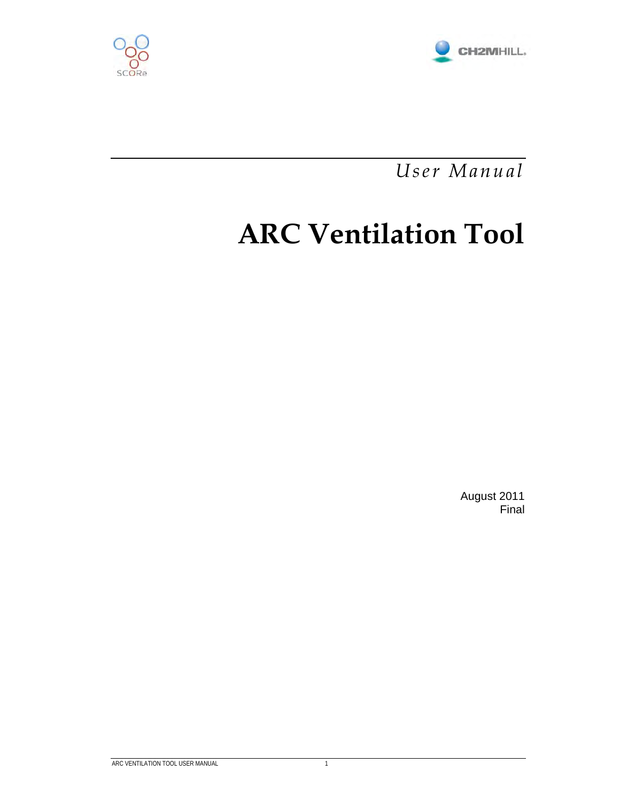



*User Manual* 

# **ARC Ventilation Tool**

August 2011 Final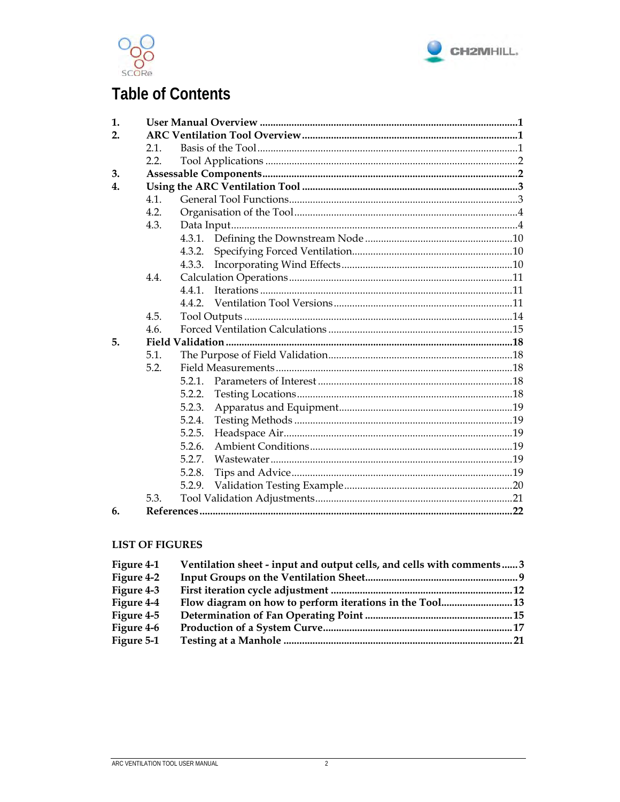



## **Table of Contents**

| 1. |      |        |  |
|----|------|--------|--|
| 2. |      |        |  |
|    | 2.1  |        |  |
|    | 2.2  |        |  |
| 3. |      |        |  |
| 4. |      |        |  |
|    | 4.1. |        |  |
|    | 4.2. |        |  |
|    | 4.3. |        |  |
|    |      |        |  |
|    |      | 4.3.2. |  |
|    |      |        |  |
|    | 4.4. |        |  |
|    |      | 4.4.1  |  |
|    |      |        |  |
|    | 4.5. |        |  |
|    | 4.6. |        |  |
| 5. |      |        |  |
|    | 5.1. |        |  |
|    | 5.2. |        |  |
|    |      | 5.2.1  |  |
|    |      | 5.2.2. |  |
|    |      | 5.2.3. |  |
|    |      | 5.2.4. |  |
|    |      | 5.2.5. |  |
|    |      | 5.2.6. |  |
|    |      | 5.2.7. |  |
|    |      | 5.2.8. |  |
|    |      | 5.2.9. |  |
|    | 5.3. |        |  |
| 6. |      |        |  |

#### **LIST OF FIGURES**

| Figure 4-1 | Ventilation sheet - input and output cells, and cells with comments3 |  |
|------------|----------------------------------------------------------------------|--|
| Figure 4-2 |                                                                      |  |
| Figure 4-3 |                                                                      |  |
| Figure 4-4 |                                                                      |  |
| Figure 4-5 |                                                                      |  |
| Figure 4-6 |                                                                      |  |
| Figure 5-1 |                                                                      |  |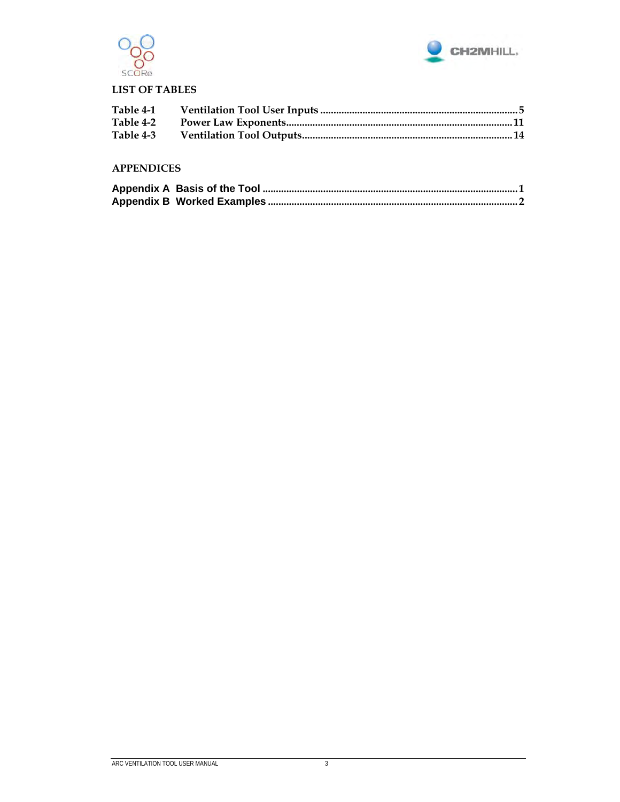



#### **LIST OF TABLES**

| Table 4-1 |  |
|-----------|--|
|           |  |
| Table 4-3 |  |

#### **APPENDICES**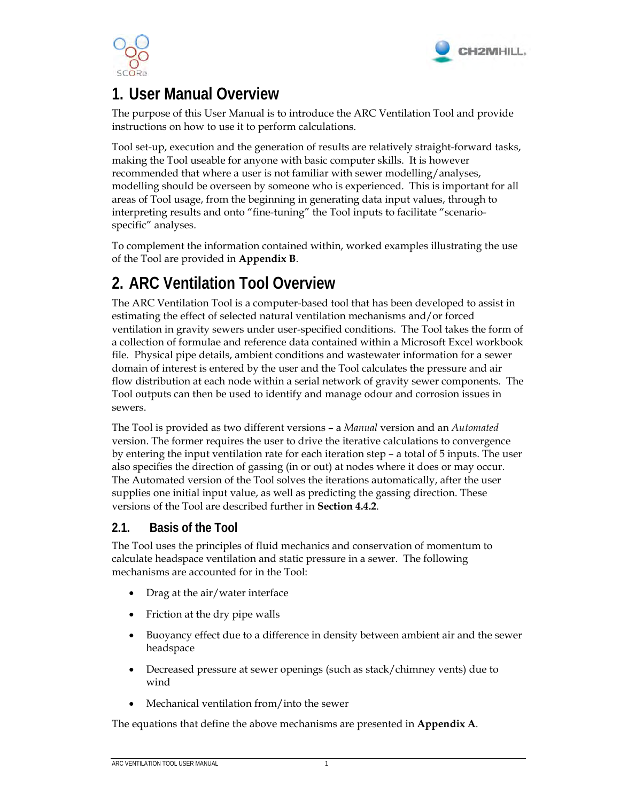



## **1. User Manual Overview**

The purpose of this User Manual is to introduce the ARC Ventilation Tool and provide instructions on how to use it to perform calculations.

Tool set-up, execution and the generation of results are relatively straight-forward tasks, making the Tool useable for anyone with basic computer skills. It is however recommended that where a user is not familiar with sewer modelling/analyses, modelling should be overseen by someone who is experienced. This is important for all areas of Tool usage, from the beginning in generating data input values, through to interpreting results and onto "fine-tuning" the Tool inputs to facilitate "scenariospecific" analyses.

To complement the information contained within, worked examples illustrating the use of the Tool are provided in **Appendix B**.

## **2. ARC Ventilation Tool Overview**

The ARC Ventilation Tool is a computer-based tool that has been developed to assist in estimating the effect of selected natural ventilation mechanisms and/or forced ventilation in gravity sewers under user-specified conditions. The Tool takes the form of a collection of formulae and reference data contained within a Microsoft Excel workbook file. Physical pipe details, ambient conditions and wastewater information for a sewer domain of interest is entered by the user and the Tool calculates the pressure and air flow distribution at each node within a serial network of gravity sewer components. The Tool outputs can then be used to identify and manage odour and corrosion issues in sewers.

The Tool is provided as two different versions – a *Manual* version and an *Automated* version. The former requires the user to drive the iterative calculations to convergence by entering the input ventilation rate for each iteration step – a total of 5 inputs. The user also specifies the direction of gassing (in or out) at nodes where it does or may occur. The Automated version of the Tool solves the iterations automatically, after the user supplies one initial input value, as well as predicting the gassing direction. These versions of the Tool are described further in **Section 4.4.2**.

### **2.1. Basis of the Tool**

The Tool uses the principles of fluid mechanics and conservation of momentum to calculate headspace ventilation and static pressure in a sewer. The following mechanisms are accounted for in the Tool:

- Drag at the air/water interface
- Friction at the dry pipe walls
- Buoyancy effect due to a difference in density between ambient air and the sewer headspace
- Decreased pressure at sewer openings (such as stack/chimney vents) due to wind
- Mechanical ventilation from/into the sewer

The equations that define the above mechanisms are presented in **Appendix A**.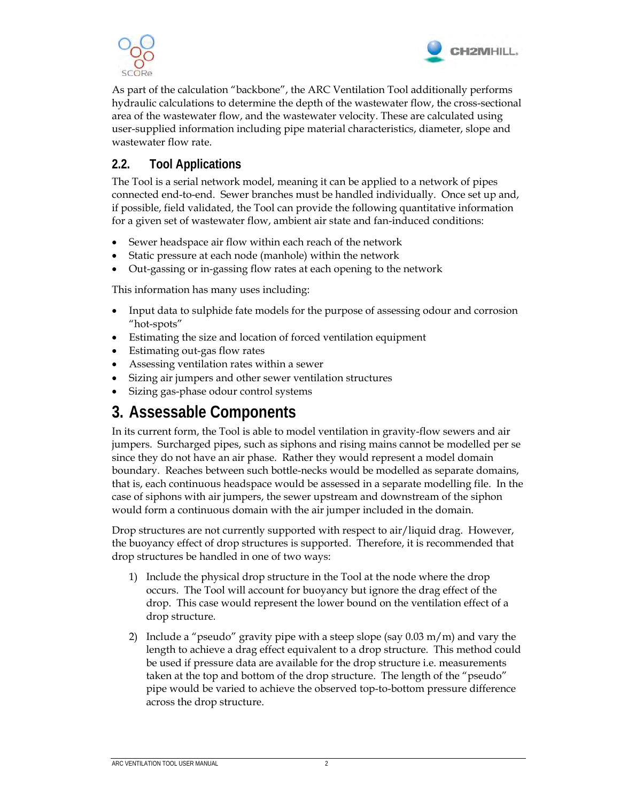



As part of the calculation "backbone", the ARC Ventilation Tool additionally performs hydraulic calculations to determine the depth of the wastewater flow, the cross-sectional area of the wastewater flow, and the wastewater velocity. These are calculated using user-supplied information including pipe material characteristics, diameter, slope and wastewater flow rate.

### **2.2. Tool Applications**

The Tool is a serial network model, meaning it can be applied to a network of pipes connected end-to-end. Sewer branches must be handled individually. Once set up and, if possible, field validated, the Tool can provide the following quantitative information for a given set of wastewater flow, ambient air state and fan-induced conditions:

- Sewer headspace air flow within each reach of the network
- Static pressure at each node (manhole) within the network
- Out-gassing or in-gassing flow rates at each opening to the network

This information has many uses including:

- Input data to sulphide fate models for the purpose of assessing odour and corrosion "hot-spots"
- Estimating the size and location of forced ventilation equipment
- Estimating out-gas flow rates
- Assessing ventilation rates within a sewer
- Sizing air jumpers and other sewer ventilation structures
- Sizing gas-phase odour control systems

## **3. Assessable Components**

In its current form, the Tool is able to model ventilation in gravity-flow sewers and air jumpers. Surcharged pipes, such as siphons and rising mains cannot be modelled per se since they do not have an air phase. Rather they would represent a model domain boundary. Reaches between such bottle-necks would be modelled as separate domains, that is, each continuous headspace would be assessed in a separate modelling file. In the case of siphons with air jumpers, the sewer upstream and downstream of the siphon would form a continuous domain with the air jumper included in the domain.

Drop structures are not currently supported with respect to air/liquid drag. However, the buoyancy effect of drop structures is supported. Therefore, it is recommended that drop structures be handled in one of two ways:

- 1) Include the physical drop structure in the Tool at the node where the drop occurs. The Tool will account for buoyancy but ignore the drag effect of the drop. This case would represent the lower bound on the ventilation effect of a drop structure.
- 2) Include a "pseudo" gravity pipe with a steep slope (say  $0.03 \text{ m/m}$ ) and vary the length to achieve a drag effect equivalent to a drop structure. This method could be used if pressure data are available for the drop structure i.e. measurements taken at the top and bottom of the drop structure. The length of the "pseudo" pipe would be varied to achieve the observed top-to-bottom pressure difference across the drop structure.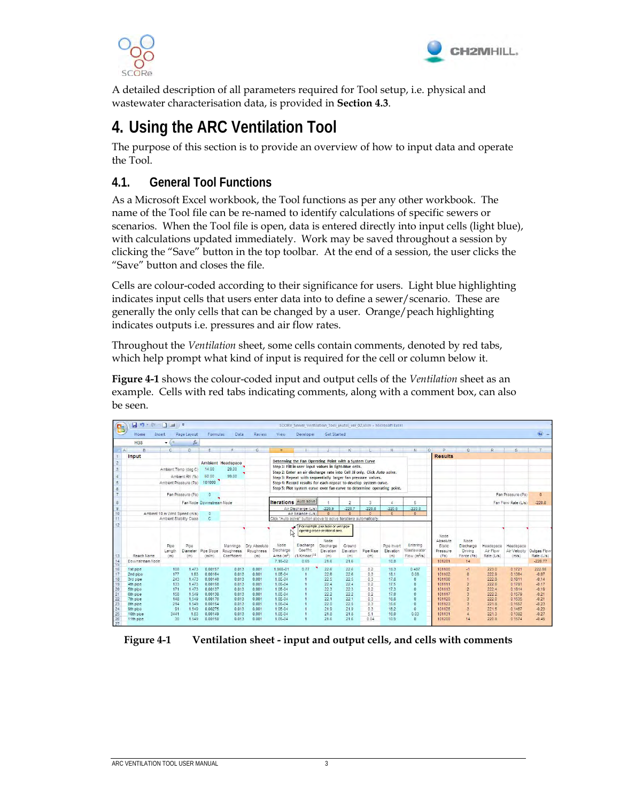



A detailed description of all parameters required for Tool setup, i.e. physical and wastewater characterisation data, is provided in **Section 4.3**.

## **4. Using the ARC Ventilation Tool**

The purpose of this section is to provide an overview of how to input data and operate the Tool.

## **4.1. General Tool Functions**

As a Microsoft Excel workbook, the Tool functions as per any other workbook. The name of the Tool file can be re-named to identify calculations of specific sewers or scenarios. When the Tool file is open, data is entered directly into input cells (light blue), with calculations updated immediately. Work may be saved throughout a session by clicking the "Save" button in the top toolbar. At the end of a session, the user clicks the "Save" button and closes the file.

Cells are colour-coded according to their significance for users. Light blue highlighting indicates input cells that users enter data into to define a sewer/scenario. These are generally the only cells that can be changed by a user. Orange/peach highlighting indicates outputs i.e. pressures and air flow rates.

Throughout the *Ventilation* sheet, some cells contain comments, denoted by red tabs, which help prompt what kind of input is required for the cell or column below it.

**Figure 4-1** shows the colour-coded input and output cells of the *Ventilation* sheet as an example. Cells with red tabs indicating comments, along with a comment box, can also be seen.

| <b>B</b>             | ы<br>$17 - 11 = 7$            |                       |                         |                          |                                      |                                  |                                             | SCORe Sewer Ventilation Tool (Auto) ver 02.xlsm - Microsoft Excel                                               |                                                                     |                            |                      |                                 |                                                    |                                        |                                                   |                                     |                                    |                           |
|----------------------|-------------------------------|-----------------------|-------------------------|--------------------------|--------------------------------------|----------------------------------|---------------------------------------------|-----------------------------------------------------------------------------------------------------------------|---------------------------------------------------------------------|----------------------------|----------------------|---------------------------------|----------------------------------------------------|----------------------------------------|---------------------------------------------------|-------------------------------------|------------------------------------|---------------------------|
|                      | Home<br>Insert                |                       | Page Layout             | Formulas                 | Data                                 | Review                           | View                                        | Developer                                                                                                       | Get Started                                                         |                            |                      |                                 |                                                    |                                        |                                                   |                                     |                                    | $\circledcirc$            |
|                      | <b>H38</b>                    | $-0.1$                | $f_x$                   |                          |                                      |                                  |                                             |                                                                                                                 |                                                                     |                            |                      |                                 |                                                    |                                        |                                                   |                                     |                                    |                           |
| $\Delta$             | R                             | C.                    | D                       | F.                       | E.                                   | G                                | H                                           |                                                                                                                 | $\mathcal{A}$                                                       | $\kappa$                   | $\mathbb{R}$         | 14                              | $\Omega$<br>W.                                     | P.                                     | $\Omega$                                          | R.                                  | S.                                 | T                         |
|                      | Input                         |                       |                         |                          |                                      |                                  |                                             |                                                                                                                 |                                                                     |                            |                      |                                 |                                                    | <b>Results</b>                         |                                                   |                                     |                                    |                           |
| $2^{\circ}$          |                               |                       |                         |                          | Ambient Headspace                    |                                  |                                             | Determing the Fan Operating Point with a System Curve<br>Step 1: Fill in user input values in light-blue cells. |                                                                     |                            |                      |                                 |                                                    |                                        |                                                   |                                     |                                    |                           |
| $\overline{3}$       |                               |                       | Ambient Temp (deg C)    | 14.00                    | 20.00                                |                                  |                                             | Step 2: Enter an air discharge rate into Cell J8 only. Click Auto solve.                                        |                                                                     |                            |                      |                                 |                                                    |                                        |                                                   |                                     |                                    |                           |
|                      |                               |                       | Ambient RH (%)          | 60.00                    | 99.00                                |                                  |                                             | Step 3: Repeat with sequentially larger fan pressure values.                                                    |                                                                     |                            |                      |                                 |                                                    |                                        |                                                   |                                     |                                    |                           |
| 5                    |                               |                       | Ambient Pressure (Pa)   | 101000                   |                                      |                                  |                                             | Step 4: Record results for each repeat to develop system curve.                                                 |                                                                     |                            |                      |                                 |                                                    |                                        |                                                   |                                     |                                    |                           |
| 6                    |                               |                       |                         |                          |                                      |                                  |                                             | Step 5: Plot system curve over fan curve to determine operating point.                                          |                                                                     |                            |                      |                                 |                                                    |                                        |                                                   |                                     |                                    |                           |
| $\overline{7}$       |                               |                       | Fan Pressure (Pa)       | $\Omega$                 |                                      |                                  |                                             |                                                                                                                 |                                                                     |                            |                      |                                 |                                                    |                                        |                                                   |                                     | Fan Pressure (Pa)                  | $\overline{0}$            |
|                      |                               |                       |                         |                          |                                      |                                  | <b>Iterations</b> Auto solve                |                                                                                                                 |                                                                     |                            |                      | $\Delta$                        |                                                    |                                        |                                                   |                                     |                                    |                           |
| 8                    |                               |                       |                         | Fan Node Downstream Node |                                      |                                  |                                             |                                                                                                                 |                                                                     | $\overline{2}$             | 3                    |                                 | 5                                                  |                                        |                                                   |                                     | Fan Flow Rate (L/s)                | $-220.8$                  |
| $\overline{9}$<br>10 | Ambient 10 m Wind Speed (m/s) |                       |                         | $\Omega$                 |                                      |                                  |                                             | Air Discharge (L/s)<br>Air balance (L/s)                                                                        | $-220.9$<br>$\mathbf{0}$                                            | $-220.7$<br>$\Omega$       | $-220.8$<br>$\Omega$ | $-220.8$<br>$\Omega$            | $-220.8$<br>$\Omega$                               |                                        |                                                   |                                     |                                    |                           |
| 11                   |                               |                       | Ambient Stability Class | $\mathbb{C}$             |                                      |                                  |                                             | Click "Auto solve" button above to solve iterations automatically                                               |                                                                     |                            |                      |                                 |                                                    |                                        |                                                   |                                     |                                    |                           |
| 12 <sup>°</sup>      |                               |                       |                         |                          |                                      |                                  |                                             |                                                                                                                 |                                                                     |                            |                      |                                 |                                                    |                                        |                                                   |                                     |                                    |                           |
|                      |                               |                       |                         |                          |                                      |                                  |                                             |                                                                                                                 | For example, pick hole or vent pipe<br>opening cross-sectional area |                            |                      |                                 |                                                    |                                        |                                                   |                                     |                                    |                           |
|                      |                               |                       |                         |                          |                                      |                                  | W                                           |                                                                                                                 |                                                                     |                            |                      |                                 |                                                    | Node                                   |                                                   |                                     |                                    |                           |
| 13                   | Reach Name                    | Pipe<br>Length<br>(m) | Pipe<br>Diameter<br>(m) | Pipe Slope<br>(m/m)      | Mannings<br>Roughness<br>Coefficient | Dry Absolute<br>Roughness<br>(m) | Node<br>Discharge<br>Area (m <sup>2</sup> ) | Discharge<br>Coeffnt.<br>(1/Kminor) <sup>0.5</sup>                                                              | Node<br>Discharge<br>Elevation<br>(m)                               | Ground<br>Elevation<br>(m) | Pipe Rise<br>(m)     | Pipe Invert<br>Elevation<br>(m) | Entering<br>Wastewater<br>Flow (m <sup>3</sup> /s) | Absolute<br>Static<br>Pressure<br>(Pa) | <b>Node</b><br>Discharge<br>Driving<br>Force (Pa) | Headspace<br>Air Flow<br>Rate (L/s) | Headspace<br>Air Velocity<br>(m/s) | Outgas Flow<br>Rate (L/s) |
| 14<br>15             | Downstream Node               |                       |                         |                          |                                      |                                  | 7.1E-02                                     | 0.65                                                                                                            | 21.6                                                                | 21.6                       |                      | 10.8                            |                                                    | 101201                                 | 14                                                |                                     |                                    | $-220.77$                 |
| 16<br>17             | 1st pipe<br>2nd pipe          | 108<br>177            | 1.473<br>1.63           | 0.00157<br>0.00164       | 0.013<br>0.013                       | 0.001<br>0.001                   | 1.96E-01<br>$1.0F - 04$                     | 0.77                                                                                                            | 22.6<br>22.6                                                        | 228<br>22.6                | 0.2<br>0.3           | 18.3<br>18.1                    | 0.487<br>0.08                                      | 101100<br>101102                       | $-1$<br>$\mathbf{0}$                              | 223.0<br>222.9                      | 0.1721<br>0 1364                   | 222.98<br>$-0.07$         |
| 18                   | 3rd pipe                      | 243                   | 1.473                   | 0.00140                  | 0.013                                | 0.001                            | $1.0F - 04$                                 |                                                                                                                 | 22.5                                                                | 22.5                       | 0.3                  | 17.8                            | $\mathbf{0}$                                       | 101106                                 | $\overline{1}$                                    | 222.8                               | 0.1811                             | $-0.14$                   |
| 19                   | 4th pipe                      | 133                   | 1,473                   | 0.00158                  | 0.013                                | 0.001                            | $1.0E - 04$                                 |                                                                                                                 | 22.4                                                                | 22.4                       | 0.2                  | 17.5                            | n                                                  | 101111                                 | $\overline{2}$                                    | 222.6                               | 0.1781                             | $-0.17$                   |
| 20                   | 5th ploe                      | 171                   | 1.473                   | 0.00137                  | 0.013                                | 0.001                            | $1.0E - 04$                                 |                                                                                                                 | 22.3                                                                | 22.3                       | 0.2                  | 17.3                            | n.                                                 | 101113                                 | $\overline{2}$                                    | 222.4                               | 0.1814                             | $-0.19$                   |
| 21                   | 6th pipe                      | 158                   | 1.549                   | 0.00138                  | 0.013                                | 0.001                            | $1.0F - 04$                                 |                                                                                                                 | 22.2                                                                | 22.2                       | 0.2                  | 17.0                            | $\theta$                                           | 101117                                 | $\overline{3}$                                    | 222.2                               | 0.1579                             | $-0.21$                   |
| 22<br>23             | 7th pipe<br>8th pipe          | 148<br>214            | 1,549<br>1.549          | 0.00176<br>0.00154       | 0.013<br>0.013                       | 0.001<br>0.001                   | $1.0F - 0.4$<br>1.0E-04                     |                                                                                                                 | 221<br>220                                                          | 22.1<br>22.0               | 0.3<br>0.3           | 16.8<br>16.6                    | $\overline{a}$<br>0                                | 101120<br>101123                       | $\overline{3}$<br>$\overline{3}$                  | 222.0<br>221.8                      | 0.1535<br>0.1557                   | $-0.21$<br>$-0.23$        |
| 24                   | 9th pipe                      | 91                    | 1.549                   | 0.00275                  | 0.013                                | 0.001                            | 1.0E-04                                     |                                                                                                                 | 21.9                                                                | 21.9                       | 0.3                  | 16.2                            | $\Omega$                                           | 101128                                 | $\mathbf{3}$                                      | 221.5                               | 0.1467                             | $-0.23$                   |
| 25                   | 10th pipe                     | 3441                  | 1.63                    | 0.00149                  | 0.013                                | 0.001                            | $1.0E - 04$                                 |                                                                                                                 | 21.8                                                                | 21.8                       | 5.1                  | 16.0                            | 0.03                                               | 101131                                 | $\ddot{a}$                                        | 221.3                               | 0.1382                             | $-0.27$                   |
| 26<br>27             | 11th pipe                     | 30                    | 1.549                   | 0.00150                  | 0.013                                | 0.001                            | 1.0E-04                                     |                                                                                                                 | 21.6                                                                | 21.6                       | 0.04                 | 10.9                            | $\Omega$                                           | 101200                                 | 14                                                | 220.8                               | 0.1574                             | $-0.49$                   |

**Figure 4-1 Ventilation sheet - input and output cells, and cells with comments**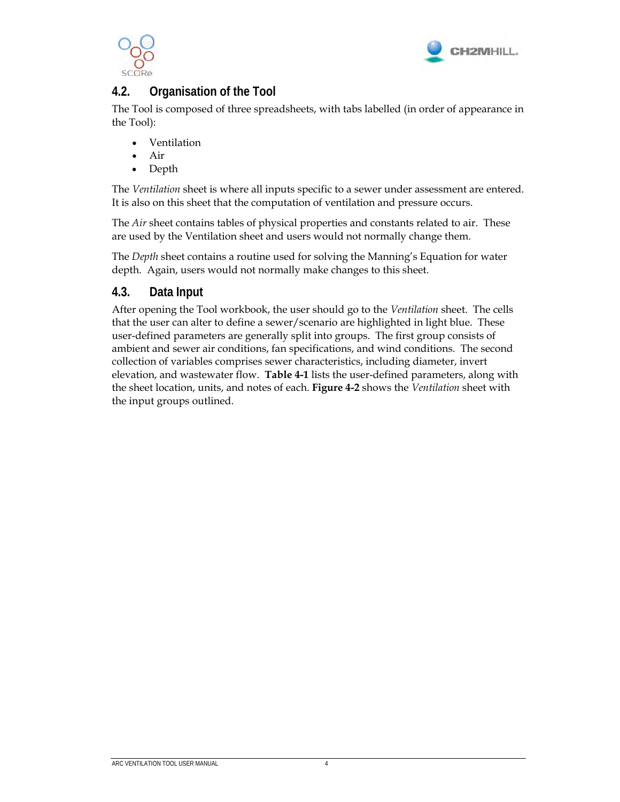



## **4.2. Organisation of the Tool**

The Tool is composed of three spreadsheets, with tabs labelled (in order of appearance in the Tool):

- Ventilation
- Air
- Depth

The *Ventilation* sheet is where all inputs specific to a sewer under assessment are entered. It is also on this sheet that the computation of ventilation and pressure occurs.

The *Air* sheet contains tables of physical properties and constants related to air. These are used by the Ventilation sheet and users would not normally change them.

The *Depth* sheet contains a routine used for solving the Manning's Equation for water depth. Again, users would not normally make changes to this sheet.

#### **4.3. Data Input**

After opening the Tool workbook, the user should go to the *Ventilation* sheet. The cells that the user can alter to define a sewer/scenario are highlighted in light blue. These user-defined parameters are generally split into groups. The first group consists of ambient and sewer air conditions, fan specifications, and wind conditions. The second collection of variables comprises sewer characteristics, including diameter, invert elevation, and wastewater flow. **Table 4-1** lists the user-defined parameters, along with the sheet location, units, and notes of each. **Figure 4-2** shows the *Ventilation* sheet with the input groups outlined.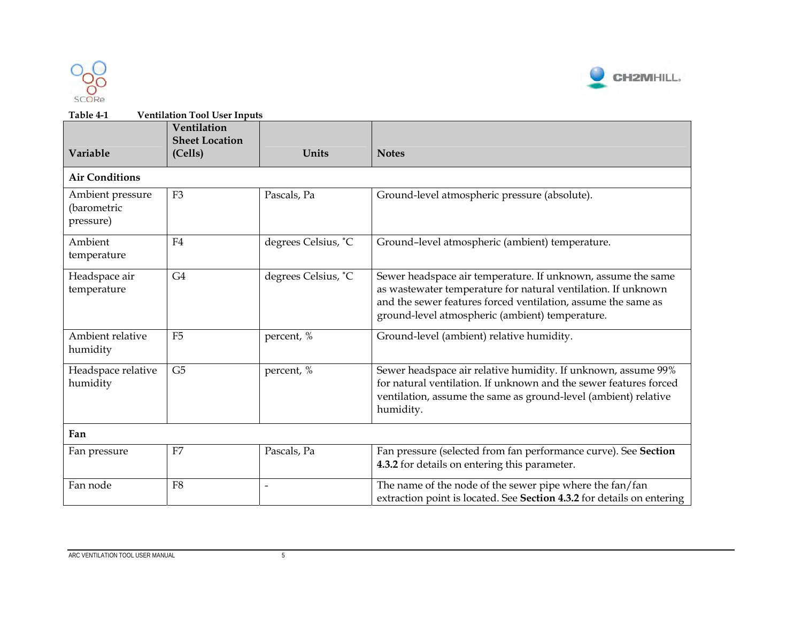



| Table 4-1                                    | <b>Ventilation Tool User Inputs</b>             |                          |                                                                                                                                                                                                                                                   |
|----------------------------------------------|-------------------------------------------------|--------------------------|---------------------------------------------------------------------------------------------------------------------------------------------------------------------------------------------------------------------------------------------------|
| Variable                                     | Ventilation<br><b>Sheet Location</b><br>(Cells) | Units                    | <b>Notes</b>                                                                                                                                                                                                                                      |
| <b>Air Conditions</b>                        |                                                 |                          |                                                                                                                                                                                                                                                   |
| Ambient pressure<br>(barometric<br>pressure) | F <sub>3</sub>                                  | Pascals, Pa              | Ground-level atmospheric pressure (absolute).                                                                                                                                                                                                     |
| Ambient<br>temperature                       | F4                                              | degrees Celsius, °C      | Ground-level atmospheric (ambient) temperature.                                                                                                                                                                                                   |
| Headspace air<br>temperature                 | G <sub>4</sub>                                  | degrees Celsius, °C      | Sewer headspace air temperature. If unknown, assume the same<br>as wastewater temperature for natural ventilation. If unknown<br>and the sewer features forced ventilation, assume the same as<br>ground-level atmospheric (ambient) temperature. |
| Ambient relative<br>humidity                 | F <sub>5</sub>                                  | percent, %               | Ground-level (ambient) relative humidity.                                                                                                                                                                                                         |
| Headspace relative<br>humidity               | G <sub>5</sub>                                  | percent, %               | Sewer headspace air relative humidity. If unknown, assume 99%<br>for natural ventilation. If unknown and the sewer features forced<br>ventilation, assume the same as ground-level (ambient) relative<br>humidity.                                |
| Fan                                          |                                                 |                          |                                                                                                                                                                                                                                                   |
| Fan pressure                                 | F7                                              | Pascals, Pa              | Fan pressure (selected from fan performance curve). See Section<br>4.3.2 for details on entering this parameter.                                                                                                                                  |
| Fan node                                     | F <sub>8</sub>                                  | $\overline{\phantom{0}}$ | The name of the node of the sewer pipe where the fan/fan<br>extraction point is located. See Section 4.3.2 for details on entering                                                                                                                |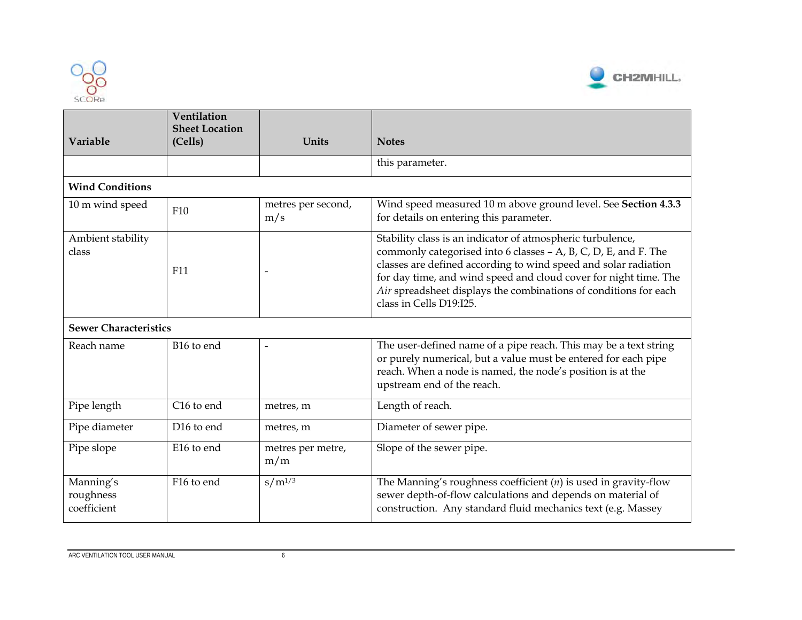



| Variable                              | Ventilation<br><b>Sheet Location</b><br>(Cells) | Units                     | <b>Notes</b>                                                                                                                                                                                                                                                                                                                                                        |
|---------------------------------------|-------------------------------------------------|---------------------------|---------------------------------------------------------------------------------------------------------------------------------------------------------------------------------------------------------------------------------------------------------------------------------------------------------------------------------------------------------------------|
|                                       |                                                 |                           | this parameter.                                                                                                                                                                                                                                                                                                                                                     |
| <b>Wind Conditions</b>                |                                                 |                           |                                                                                                                                                                                                                                                                                                                                                                     |
| 10 m wind speed                       | F10                                             | metres per second,<br>m/s | Wind speed measured 10 m above ground level. See Section 4.3.3<br>for details on entering this parameter.                                                                                                                                                                                                                                                           |
| Ambient stability<br>class            | F <sub>11</sub>                                 |                           | Stability class is an indicator of atmospheric turbulence,<br>commonly categorised into 6 classes - A, B, C, D, E, and F. The<br>classes are defined according to wind speed and solar radiation<br>for day time, and wind speed and cloud cover for night time. The<br>Air spreadsheet displays the combinations of conditions for each<br>class in Cells D19:I25. |
| <b>Sewer Characteristics</b>          |                                                 |                           |                                                                                                                                                                                                                                                                                                                                                                     |
| Reach name                            | B16 to end                                      | $\overline{\phantom{a}}$  | The user-defined name of a pipe reach. This may be a text string<br>or purely numerical, but a value must be entered for each pipe<br>reach. When a node is named, the node's position is at the<br>upstream end of the reach.                                                                                                                                      |
| Pipe length                           | C <sub>16</sub> to end                          | metres, m                 | Length of reach.                                                                                                                                                                                                                                                                                                                                                    |
| Pipe diameter                         | D <sub>16</sub> to end                          | metres, m                 | Diameter of sewer pipe.                                                                                                                                                                                                                                                                                                                                             |
| Pipe slope                            | E16 to end                                      | metres per metre,<br>m/m  | Slope of the sewer pipe.                                                                                                                                                                                                                                                                                                                                            |
| Manning's<br>roughness<br>coefficient | F16 to end                                      | $s/m^{1/3}$               | The Manning's roughness coefficient $(n)$ is used in gravity-flow<br>sewer depth-of-flow calculations and depends on material of<br>construction. Any standard fluid mechanics text (e.g. Massey                                                                                                                                                                    |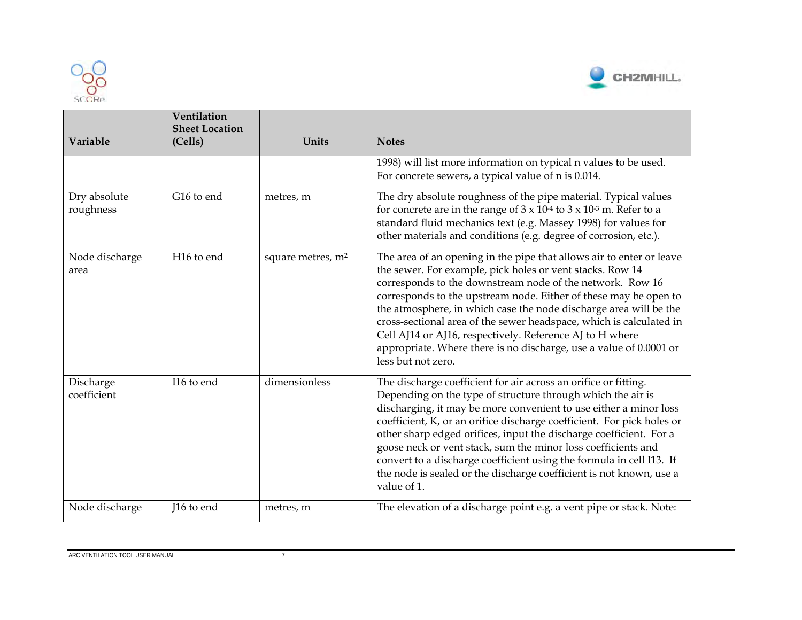



| Variable                  | Ventilation<br><b>Sheet Location</b><br>(Cells) | Units                         | <b>Notes</b>                                                                                                                                                                                                                                                                                                                                                                                                                                                                                                                                                                       |
|---------------------------|-------------------------------------------------|-------------------------------|------------------------------------------------------------------------------------------------------------------------------------------------------------------------------------------------------------------------------------------------------------------------------------------------------------------------------------------------------------------------------------------------------------------------------------------------------------------------------------------------------------------------------------------------------------------------------------|
|                           |                                                 |                               | 1998) will list more information on typical n values to be used.<br>For concrete sewers, a typical value of n is 0.014.                                                                                                                                                                                                                                                                                                                                                                                                                                                            |
| Dry absolute<br>roughness | G16 to end                                      | metres, m                     | The dry absolute roughness of the pipe material. Typical values<br>for concrete are in the range of $3 \times 10^{-4}$ to $3 \times 10^{-3}$ m. Refer to a<br>standard fluid mechanics text (e.g. Massey 1998) for values for<br>other materials and conditions (e.g. degree of corrosion, etc.).                                                                                                                                                                                                                                                                                  |
| Node discharge<br>area    | H <sub>16</sub> to end                          | square metres, m <sup>2</sup> | The area of an opening in the pipe that allows air to enter or leave<br>the sewer. For example, pick holes or vent stacks. Row 14<br>corresponds to the downstream node of the network. Row 16<br>corresponds to the upstream node. Either of these may be open to<br>the atmosphere, in which case the node discharge area will be the<br>cross-sectional area of the sewer headspace, which is calculated in<br>Cell AJ14 or AJ16, respectively. Reference AJ to H where<br>appropriate. Where there is no discharge, use a value of 0.0001 or<br>less but not zero.             |
| Discharge<br>coefficient  | I16 to end                                      | dimensionless                 | The discharge coefficient for air across an orifice or fitting.<br>Depending on the type of structure through which the air is<br>discharging, it may be more convenient to use either a minor loss<br>coefficient, K, or an orifice discharge coefficient. For pick holes or<br>other sharp edged orifices, input the discharge coefficient. For a<br>goose neck or vent stack, sum the minor loss coefficients and<br>convert to a discharge coefficient using the formula in cell I13. If<br>the node is sealed or the discharge coefficient is not known, use a<br>value of 1. |
| Node discharge            | I16 to end                                      | metres, m                     | The elevation of a discharge point e.g. a vent pipe or stack. Note:                                                                                                                                                                                                                                                                                                                                                                                                                                                                                                                |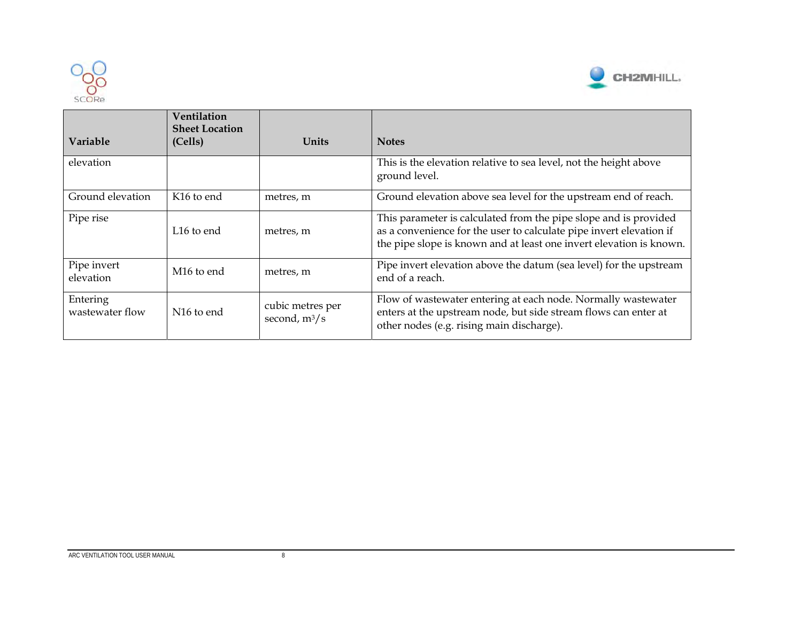



| <b>Variable</b>             | <b>Ventilation</b><br><b>Sheet Location</b><br>(Cells) | Units                               | <b>Notes</b>                                                                                                                                                                                                   |
|-----------------------------|--------------------------------------------------------|-------------------------------------|----------------------------------------------------------------------------------------------------------------------------------------------------------------------------------------------------------------|
| elevation                   |                                                        |                                     | This is the elevation relative to sea level, not the height above<br>ground level.                                                                                                                             |
| Ground elevation            | K <sub>16</sub> to end                                 | metres, m                           | Ground elevation above sea level for the upstream end of reach.                                                                                                                                                |
| Pipe rise                   | L <sub>16</sub> to end                                 | metres, m                           | This parameter is calculated from the pipe slope and is provided<br>as a convenience for the user to calculate pipe invert elevation if<br>the pipe slope is known and at least one invert elevation is known. |
| Pipe invert<br>elevation    | M <sub>16</sub> to end                                 | metres, m                           | Pipe invert elevation above the datum (sea level) for the upstream<br>end of a reach.                                                                                                                          |
| Entering<br>wastewater flow | N <sub>16</sub> to end                                 | cubic metres per<br>second, $m^3/s$ | Flow of wastewater entering at each node. Normally wastewater<br>enters at the upstream node, but side stream flows can enter at<br>other nodes (e.g. rising main discharge).                                  |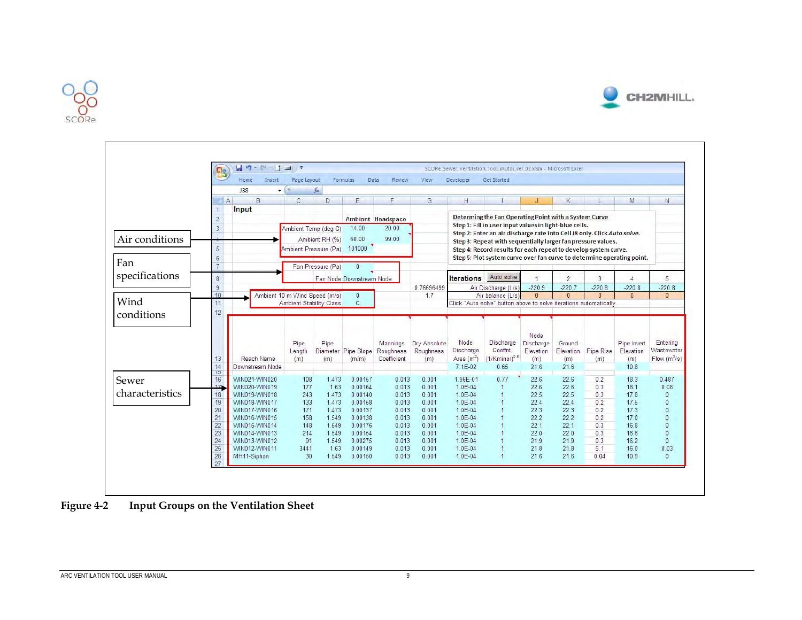

г



|                 |                 | Home<br>Insert                | Page Layout   |                                | Formulas<br>Data         | Review                   | View         | Developer                | Get Started                                                                                                                     |              |                |             |                |                |
|-----------------|-----------------|-------------------------------|---------------|--------------------------------|--------------------------|--------------------------|--------------|--------------------------|---------------------------------------------------------------------------------------------------------------------------------|--------------|----------------|-------------|----------------|----------------|
|                 |                 | <b>J38</b><br>$\pm$ (         | ×             | fx                             |                          |                          |              |                          |                                                                                                                                 |              |                |             |                |                |
|                 |                 | $\overline{A}$<br>B           | $\mathcal{C}$ | D                              | E                        | F                        | G.           | H                        |                                                                                                                                 | $\mathbf{J}$ | K              | L           | M              | N.             |
|                 |                 | Input                         |               |                                |                          |                          |              |                          |                                                                                                                                 |              |                |             |                |                |
|                 | $\sqrt{2}$      |                               |               |                                |                          | <b>Ambient Headspace</b> |              |                          | Determing the Fan Operating Point with a System Curve                                                                           |              |                |             |                |                |
|                 | $\overline{3}$  |                               |               | Ambient Temp (deg C)           | 14.00                    | 20.00                    |              |                          | Step 1: Fill in user input values in light-blue cells.                                                                          |              |                |             |                |                |
| Air conditions  |                 |                               |               | Ambient RH (%)                 | 60.00                    | 99.00                    |              |                          | Step 2: Enter an air discharge rate into Cell J8 only. Click Auto solve.                                                        |              |                |             |                |                |
|                 | 5               |                               |               | Ambient Pressure (Pa)          | 101000                   |                          |              |                          | Step 3: Repeat with sequentially larger fan pressure values.<br>Step 4: Record results for each repeat to develop system curve. |              |                |             |                |                |
|                 | 6               |                               |               |                                |                          |                          |              |                          | Step 5: Plot system curve over fan curve to determine operating point.                                                          |              |                |             |                |                |
| Fan             | $\overline{7}$  |                               |               | Fan Pressure (Pa)              | $\mathbf{0}$             |                          |              |                          |                                                                                                                                 |              |                |             |                |                |
| specifications  |                 |                               |               |                                |                          |                          |              |                          |                                                                                                                                 |              |                |             |                |                |
|                 | $\bf 8$         |                               |               |                                | Fan Node Downstream Node |                          |              | <b>Iterations</b>        | Auto solve                                                                                                                      |              | $\overline{2}$ | 3           | $\overline{4}$ | 5              |
|                 | 9               |                               |               |                                |                          |                          | 0.76696499   |                          | Air Discharge (L/s)                                                                                                             | $-220.9$     | $-220.7$       | $-220.8$    | $-220.8$       | $-220.8$       |
| Wind            | 10              | Ambient 10 m Wind Speed (m/s) |               |                                | $\mathbf 0$              |                          | 17           |                          | Air balance (L/s)                                                                                                               | $\Omega$     | $\mathbf{0}$   | $\Omega$    | $\mathbf{0}$   | $\mathbf{0}$   |
|                 | 11              |                               |               | <b>Ambient Stability Class</b> | $\mathsf{C}$             |                          |              |                          | Click "Auto solve" button above to solve iterations automatically                                                               |              |                |             |                |                |
| conditions      | 12              |                               |               |                                |                          |                          |              |                          |                                                                                                                                 |              |                |             |                |                |
|                 |                 |                               |               |                                |                          |                          |              |                          |                                                                                                                                 |              |                |             |                |                |
|                 |                 |                               |               |                                |                          |                          |              |                          |                                                                                                                                 | Node         |                |             |                |                |
|                 |                 |                               | Pipe          | Pipe                           |                          | Mannings                 | Dry Absolute | Node                     | Discharge                                                                                                                       | Discharge    | Ground         |             | Pipe Invert    | Entering       |
|                 |                 |                               | Length        | Diameter                       | Pipe Slope               | Roughness                | Roughness    | Discharge                | Coeffnt.                                                                                                                        | Elevation    | Elevation      | Pipe Rise   | Elevation      | Wastewater     |
|                 | 13              | Reach Name                    | (m)           | (m)                            | (m/m)                    | Coefficient              | (m)          | Area $(m2)$              | $(1/Kminor)^{0.5}$                                                                                                              | (m)          | (m)            | (m)         | (m)            | Flow $(m^3/s)$ |
|                 | $\frac{14}{15}$ | Downstream Node               |               |                                |                          |                          |              | 7.1E-02                  | 0.65                                                                                                                            | 21.6         | 21.6           |             | 10.8           |                |
|                 | 16              | WIN021-WIN020                 | 108           | 1.473                          | 0.00157                  | 0.013                    | 0.001        | 1.96E-01                 | 0.77                                                                                                                            | 22.6         | 22.6           | 0.2         | 18.3           | 0.487          |
| Sewer           | 17 <sub>1</sub> | WIN020-WIN019                 | 177           | 1.63                           | 0.00164                  | 0.013                    | 0.001        | $1.0E - 04$              | $\vert$                                                                                                                         | 22.6         | 22.6           | 0.3         | 18.1           | 0.08           |
| characteristics | 18              | WIN019-WIN018                 | 243           | 1473                           | 0.00140                  | 0.013                    | 0.001        | $1.0E - 04$              | $\overline{1}$                                                                                                                  | 22.5         | 22.5           | 0.3         | 17.8           | $\mathbf{0}$   |
|                 | 19              | WIN018-WIN017                 | 133           | 1.473                          | 0.00158                  | 0.013                    | 0.001        | $1.0E - 04$              | $\overline{1}$                                                                                                                  | 22.4         | 22.4           | 0.2         | 17.5           | $\mathbf{0}$   |
|                 | 20              | WIN017-WIN016                 | 171           | 1.473                          | 0.00137                  | 0.013                    | 0.001        | 1.0E-04                  | $\overline{1}$                                                                                                                  | 22.3         | 22.3           | 0.2         | 17.3           | $\mathbf{0}$   |
|                 | 21              | WIN016-WIN015                 | 158           | 1.549                          | 0.00138                  | 0.013                    | 0.001        | $1.0E - 04$              | $\overline{1}$                                                                                                                  | 22.2         | 22.2           | 0.2         | 17.0           | $\overline{0}$ |
|                 | $\frac{22}{23}$ | WIN015-WIN014                 | 148           | 1.549                          | 0.00176                  | 0.013                    | 0.001        | $1.0E - 04$              | $\overline{1}$                                                                                                                  | 22.1         | 22.1           | 0.3         | 16.8           | $\mathbf{0}$   |
|                 |                 | WIN014-WIN013                 | 214           | 1.549                          | 0.00154                  | 0.013                    | 0.001        | $1.0E - 04$              |                                                                                                                                 | 22.0         | 22.0           | 0.3         | 16.6           | $\overline{0}$ |
|                 | 24              | WIN013-WIN012                 | 91            | 1.549                          | 0.00275                  | 0.013                    | 0.001        | 1.0E-04                  | $\overline{1}$                                                                                                                  | 21.9         | 21.9           | 0.3         | 16.2           | $\mathbf{0}$   |
|                 | 25              | WIN012-WIN011<br>MH11-Siphon  | 3441<br>30    | 1.63<br>1.549                  | 0.00149<br>0.00150       | 0.013<br>0.013           | 0.001        | $1.0E - 04$<br>$1.0E-04$ | $\overline{1}$                                                                                                                  | 21.8<br>21.6 | 21.8           | 5.1<br>0.04 | 16.0<br>10.9   | 0.03           |
|                 | 26              |                               |               |                                |                          |                          | 0.001        |                          |                                                                                                                                 |              | 21.6           |             |                | $\mathbf{0}$   |

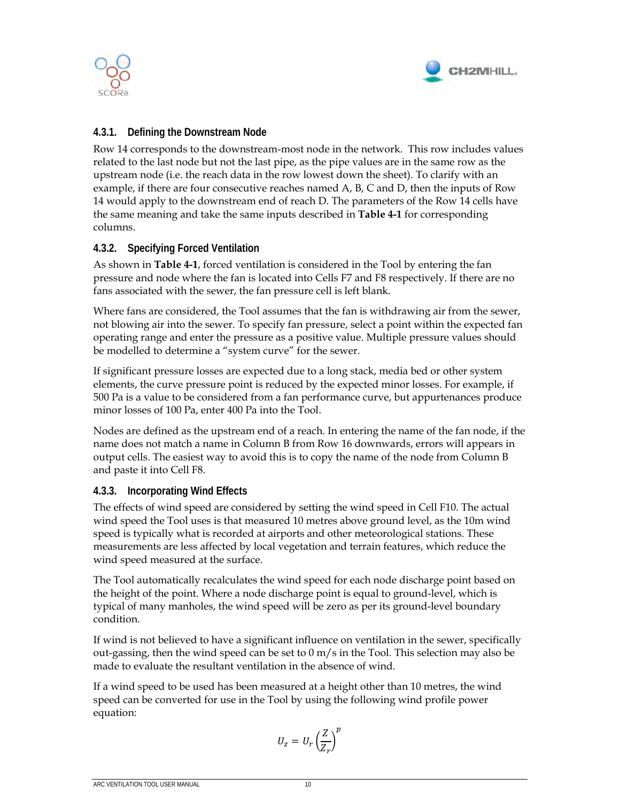



#### **4.3.1. Defining the Downstream Node**

Row 14 corresponds to the downstream-most node in the network. This row includes values related to the last node but not the last pipe, as the pipe values are in the same row as the upstream node (i.e. the reach data in the row lowest down the sheet). To clarify with an example, if there are four consecutive reaches named A, B, C and D, then the inputs of Row 14 would apply to the downstream end of reach D. The parameters of the Row 14 cells have the same meaning and take the same inputs described in **Table 4-1** for corresponding columns.

#### **4.3.2. Specifying Forced Ventilation**

As shown in **Table 4-1**, forced ventilation is considered in the Tool by entering the fan pressure and node where the fan is located into Cells F7 and F8 respectively. If there are no fans associated with the sewer, the fan pressure cell is left blank.

Where fans are considered, the Tool assumes that the fan is withdrawing air from the sewer, not blowing air into the sewer. To specify fan pressure, select a point within the expected fan operating range and enter the pressure as a positive value. Multiple pressure values should be modelled to determine a "system curve" for the sewer.

If significant pressure losses are expected due to a long stack, media bed or other system elements, the curve pressure point is reduced by the expected minor losses. For example, if 500 Pa is a value to be considered from a fan performance curve, but appurtenances produce minor losses of 100 Pa, enter 400 Pa into the Tool.

Nodes are defined as the upstream end of a reach. In entering the name of the fan node, if the name does not match a name in Column B from Row 16 downwards, errors will appears in output cells. The easiest way to avoid this is to copy the name of the node from Column B and paste it into Cell F8.

#### **4.3.3. Incorporating Wind Effects**

The effects of wind speed are considered by setting the wind speed in Cell F10. The actual wind speed the Tool uses is that measured 10 metres above ground level, as the 10m wind speed is typically what is recorded at airports and other meteorological stations. These measurements are less affected by local vegetation and terrain features, which reduce the wind speed measured at the surface.

The Tool automatically recalculates the wind speed for each node discharge point based on the height of the point. Where a node discharge point is equal to ground-level, which is typical of many manholes, the wind speed will be zero as per its ground-level boundary condition.

If wind is not believed to have a significant influence on ventilation in the sewer, specifically out-gassing, then the wind speed can be set to  $0 \text{ m/s}$  in the Tool. This selection may also be made to evaluate the resultant ventilation in the absence of wind.

If a wind speed to be used has been measured at a height other than 10 metres, the wind speed can be converted for use in the Tool by using the following wind profile power equation:

$$
U_z = U_r \left(\frac{Z}{Z_r}\right)^p
$$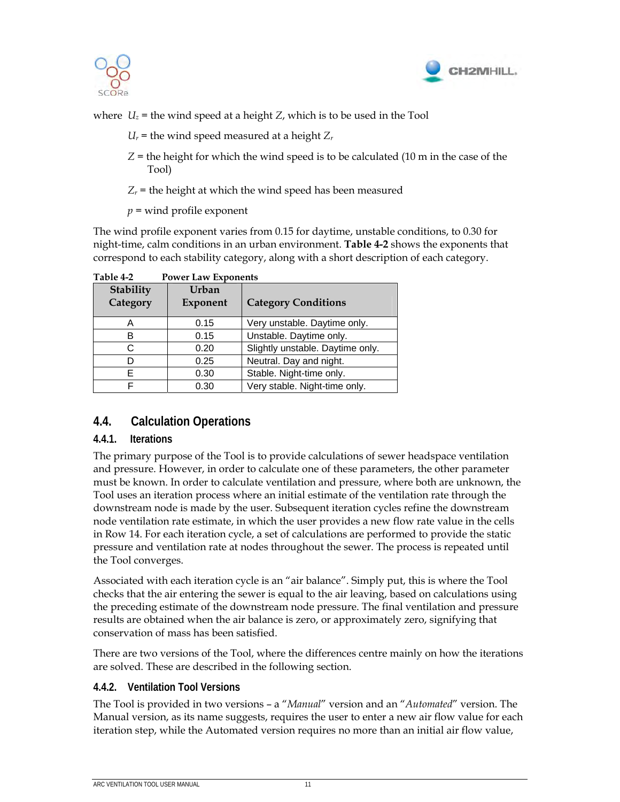



where  $U_z$  = the wind speed at a height *Z*, which is to be used in the Tool

- $U_r$  = the wind speed measured at a height  $Z_r$
- *Z* = the height for which the wind speed is to be calculated (10 m in the case of the Tool)
- $Z_r$  = the height at which the wind speed has been measured

*p* = wind profile exponent

The wind profile exponent varies from 0.15 for daytime, unstable conditions, to 0.30 for night-time, calm conditions in an urban environment. **Table 4-2** shows the exponents that correspond to each stability category, along with a short description of each category.

| Stability | 101121241120<br>Urban |                                  |  |  |  |
|-----------|-----------------------|----------------------------------|--|--|--|
| Category  | Exponent              | <b>Category Conditions</b>       |  |  |  |
| A         | 0.15                  | Very unstable. Daytime only.     |  |  |  |
| в         | 0.15                  | Unstable. Daytime only.          |  |  |  |
| 0.20      |                       | Slightly unstable. Daytime only. |  |  |  |
|           | 0.25                  | Neutral. Day and night.          |  |  |  |
| F         | 0.30                  | Stable. Night-time only.         |  |  |  |
|           | 0.30                  | Very stable. Night-time only.    |  |  |  |

**Table 4-2 Power Law Exponents** 

### **4.4. Calculation Operations**

#### **4.4.1. Iterations**

The primary purpose of the Tool is to provide calculations of sewer headspace ventilation and pressure. However, in order to calculate one of these parameters, the other parameter must be known. In order to calculate ventilation and pressure, where both are unknown, the Tool uses an iteration process where an initial estimate of the ventilation rate through the downstream node is made by the user. Subsequent iteration cycles refine the downstream node ventilation rate estimate, in which the user provides a new flow rate value in the cells in Row 14. For each iteration cycle, a set of calculations are performed to provide the static pressure and ventilation rate at nodes throughout the sewer. The process is repeated until the Tool converges.

Associated with each iteration cycle is an "air balance". Simply put, this is where the Tool checks that the air entering the sewer is equal to the air leaving, based on calculations using the preceding estimate of the downstream node pressure. The final ventilation and pressure results are obtained when the air balance is zero, or approximately zero, signifying that conservation of mass has been satisfied.

There are two versions of the Tool, where the differences centre mainly on how the iterations are solved. These are described in the following section.

#### **4.4.2. Ventilation Tool Versions**

The Tool is provided in two versions – a "*Manual*" version and an "*Automated*" version. The Manual version, as its name suggests, requires the user to enter a new air flow value for each iteration step, while the Automated version requires no more than an initial air flow value,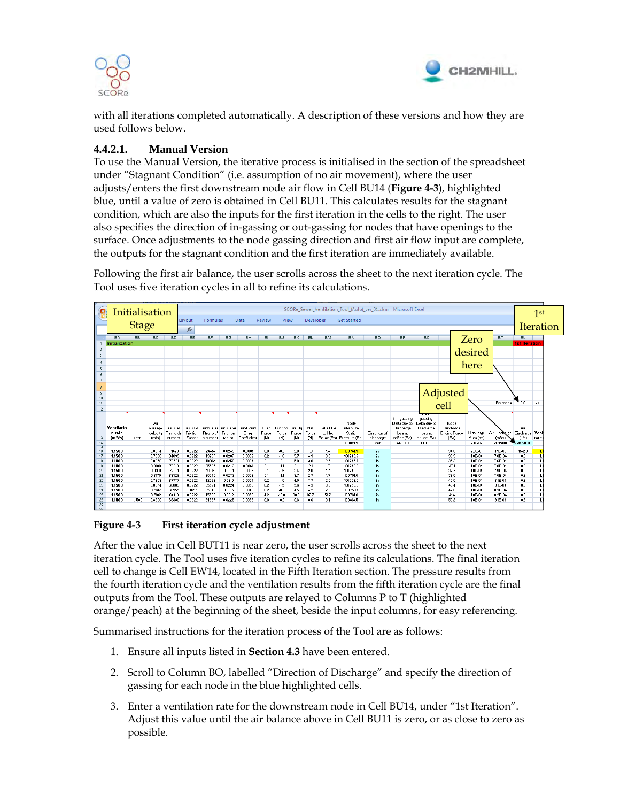



with all iterations completed automatically. A description of these versions and how they are used follows below.

#### **4.4.2.1. Manual Version**

To use the Manual Version, the iterative process is initialised in the section of the spreadsheet under "Stagnant Condition" (i.e. assumption of no air movement), where the user adjusts/enters the first downstream node air flow in Cell BU14 (**Figure 4-3**), highlighted blue, until a value of zero is obtained in Cell BU11. This calculates results for the stagnant condition, which are also the inputs for the first iteration in the cells to the right. The user also specifies the direction of in-gassing or out-gassing for nodes that have openings to the surface. Once adjustments to the node gassing direction and first air flow input are complete, the outputs for the stagnant condition and the first iteration are immediately available.

Following the first air balance, the user scrolls across the sheet to the next iteration cycle. The Tool uses five iteration cycles in all to refine its calculations.



#### **Figure 4-3 First iteration cycle adjustment**

After the value in Cell BUT11 is near zero, the user scrolls across the sheet to the next iteration cycle. The Tool uses five iteration cycles to refine its calculations. The final iteration cell to change is Cell EW14, located in the Fifth Iteration section. The pressure results from the fourth iteration cycle and the ventilation results from the fifth iteration cycle are the final outputs from the Tool. These outputs are relayed to Columns P to T (highlighted orange/peach) at the beginning of the sheet, beside the input columns, for easy referencing.

Summarised instructions for the iteration process of the Tool are as follows:

- 1. Ensure all inputs listed in **Section 4.3** have been entered.
- 2. Scroll to Column BO, labelled "Direction of Discharge" and specify the direction of gassing for each node in the blue highlighted cells.
- 3. Enter a ventilation rate for the downstream node in Cell BU14, under "1st Iteration". Adjust this value until the air balance above in Cell BU11 is zero, or as close to zero as possible.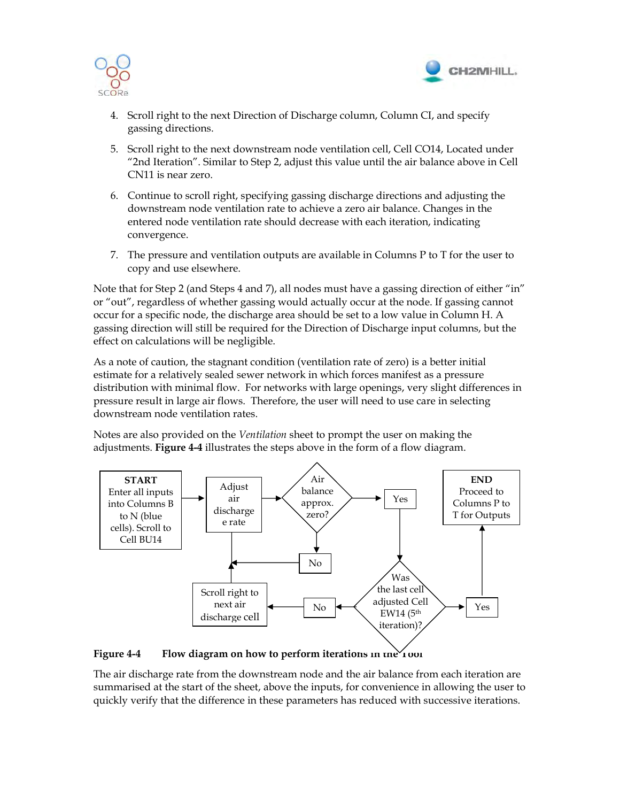



- 4. Scroll right to the next Direction of Discharge column, Column CI, and specify gassing directions.
- 5. Scroll right to the next downstream node ventilation cell, Cell CO14, Located under "2nd Iteration". Similar to Step 2, adjust this value until the air balance above in Cell CN11 is near zero.
- 6. Continue to scroll right, specifying gassing discharge directions and adjusting the downstream node ventilation rate to achieve a zero air balance. Changes in the entered node ventilation rate should decrease with each iteration, indicating convergence.
- 7. The pressure and ventilation outputs are available in Columns P to T for the user to copy and use elsewhere.

Note that for Step 2 (and Steps 4 and 7), all nodes must have a gassing direction of either "in" or "out", regardless of whether gassing would actually occur at the node. If gassing cannot occur for a specific node, the discharge area should be set to a low value in Column H. A gassing direction will still be required for the Direction of Discharge input columns, but the effect on calculations will be negligible.

As a note of caution, the stagnant condition (ventilation rate of zero) is a better initial estimate for a relatively sealed sewer network in which forces manifest as a pressure distribution with minimal flow. For networks with large openings, very slight differences in pressure result in large air flows. Therefore, the user will need to use care in selecting downstream node ventilation rates.

Notes are also provided on the *Ventilation* sheet to prompt the user on making the adjustments. **Figure 4-4** illustrates the steps above in the form of a flow diagram.



Figure 4-4 Flow diagram on how to perform iterations in the *T* tool

The air discharge rate from the downstream node and the air balance from each iteration are summarised at the start of the sheet, above the inputs, for convenience in allowing the user to quickly verify that the difference in these parameters has reduced with successive iterations.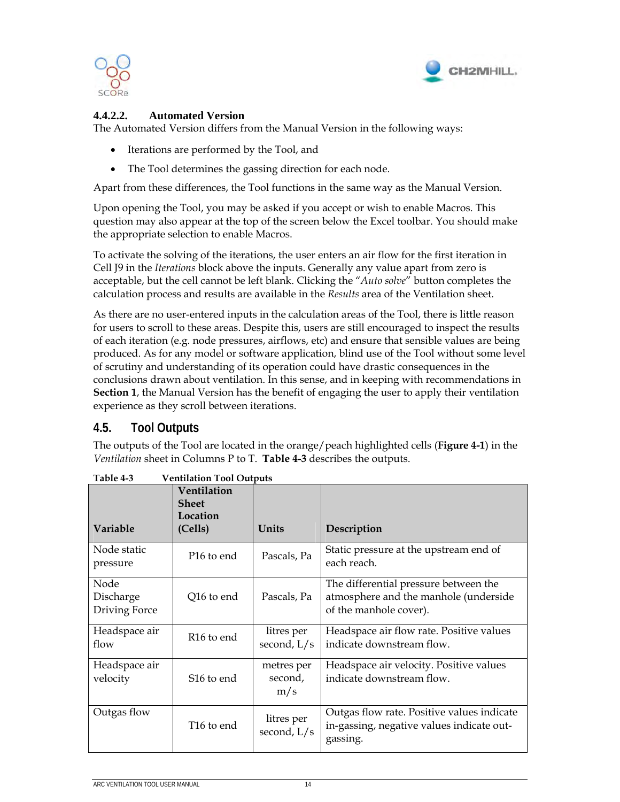



#### **4.4.2.2. Automated Version**

The Automated Version differs from the Manual Version in the following ways:

- Iterations are performed by the Tool, and
- The Tool determines the gassing direction for each node.

Apart from these differences, the Tool functions in the same way as the Manual Version.

Upon opening the Tool, you may be asked if you accept or wish to enable Macros. This question may also appear at the top of the screen below the Excel toolbar. You should make the appropriate selection to enable Macros.

To activate the solving of the iterations, the user enters an air flow for the first iteration in Cell J9 in the *Iterations* block above the inputs. Generally any value apart from zero is acceptable, but the cell cannot be left blank. Clicking the "*Auto solve*" button completes the calculation process and results are available in the *Results* area of the Ventilation sheet.

As there are no user-entered inputs in the calculation areas of the Tool, there is little reason for users to scroll to these areas. Despite this, users are still encouraged to inspect the results of each iteration (e.g. node pressures, airflows, etc) and ensure that sensible values are being produced. As for any model or software application, blind use of the Tool without some level of scrutiny and understanding of its operation could have drastic consequences in the conclusions drawn about ventilation. In this sense, and in keeping with recommendations in **Section 1**, the Manual Version has the benefit of engaging the user to apply their ventilation experience as they scroll between iterations.

### **4.5. Tool Outputs**

The outputs of the Tool are located in the orange/peach highlighted cells (**Figure 4-1**) in the *Ventilation* sheet in Columns P to T. **Table 4-3** describes the outputs.

| Variable                           | Ventilation<br><b>Sheet</b><br>Location<br>(Cells) | Units                        | Description                                                                                              |
|------------------------------------|----------------------------------------------------|------------------------------|----------------------------------------------------------------------------------------------------------|
| Node static<br>pressure            | P <sub>16</sub> to end                             | Pascals, Pa                  | Static pressure at the upstream end of<br>each reach.                                                    |
| Node<br>Discharge<br>Driving Force | Q16 to end                                         | Pascals, Pa                  | The differential pressure between the<br>atmosphere and the manhole (underside<br>of the manhole cover). |
| Headspace air<br>flow              | R <sub>16</sub> to end                             | litres per<br>second, L/s    | Headspace air flow rate. Positive values<br>indicate downstream flow.                                    |
| Headspace air<br>velocity          | S <sub>16</sub> to end                             | metres per<br>second,<br>m/s | Headspace air velocity. Positive values<br>indicate downstream flow.                                     |
| Outgas flow                        | T <sub>16</sub> to end                             | litres per<br>second, L/s    | Outgas flow rate. Positive values indicate<br>in-gassing, negative values indicate out-<br>gassing.      |

**Table 4-3 Ventilation Tool Outputs**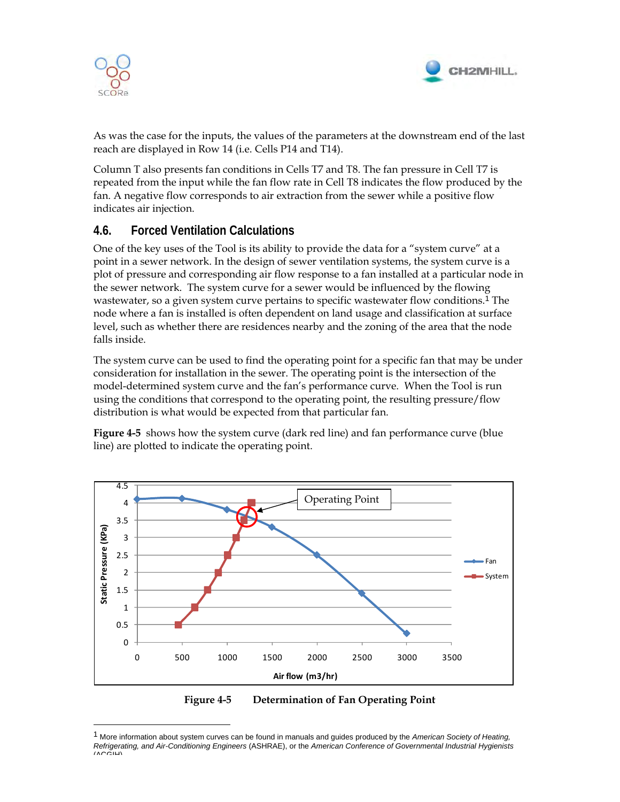

 $\overline{a}$ 



As was the case for the inputs, the values of the parameters at the downstream end of the last reach are displayed in Row 14 (i.e. Cells P14 and T14).

Column T also presents fan conditions in Cells T7 and T8. The fan pressure in Cell T7 is repeated from the input while the fan flow rate in Cell T8 indicates the flow produced by the fan. A negative flow corresponds to air extraction from the sewer while a positive flow indicates air injection.

### **4.6. Forced Ventilation Calculations**

One of the key uses of the Tool is its ability to provide the data for a "system curve" at a point in a sewer network. In the design of sewer ventilation systems, the system curve is a plot of pressure and corresponding air flow response to a fan installed at a particular node in the sewer network. The system curve for a sewer would be influenced by the flowing wastewater, so a given system curve pertains to specific wastewater flow conditions.1 The node where a fan is installed is often dependent on land usage and classification at surface level, such as whether there are residences nearby and the zoning of the area that the node falls inside.

The system curve can be used to find the operating point for a specific fan that may be under consideration for installation in the sewer. The operating point is the intersection of the model-determined system curve and the fan's performance curve. When the Tool is run using the conditions that correspond to the operating point, the resulting pressure/flow distribution is what would be expected from that particular fan.

**Figure 4-5** shows how the system curve (dark red line) and fan performance curve (blue line) are plotted to indicate the operating point.





<sup>1</sup> More information about system curves can be found in manuals and guides produced by the *American Society of Heating, Refrigerating, and Air-Conditioning Engineers* (ASHRAE), or the *American Conference of Governmental Industrial Hygienists*  $(ACCH)$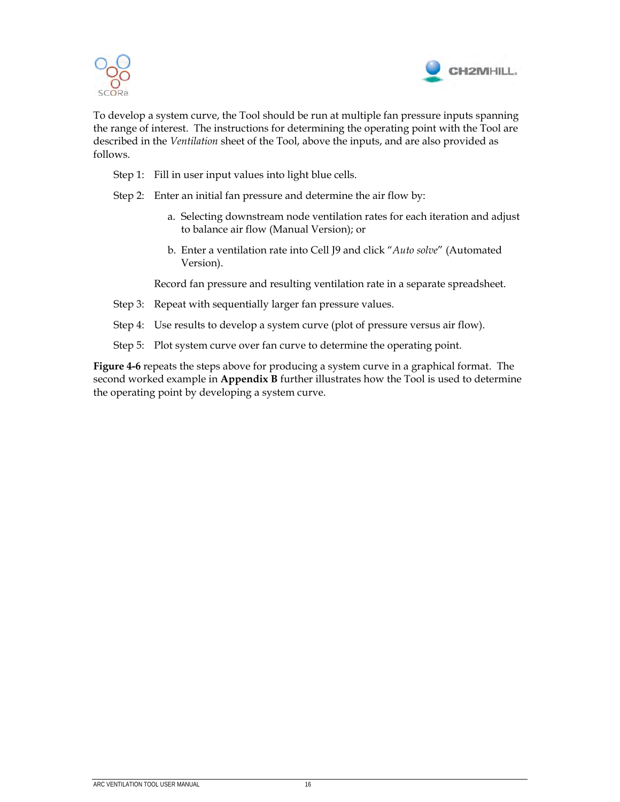



To develop a system curve, the Tool should be run at multiple fan pressure inputs spanning the range of interest. The instructions for determining the operating point with the Tool are described in the *Ventilation* sheet of the Tool, above the inputs, and are also provided as follows.

- Step 1: Fill in user input values into light blue cells.
- Step 2: Enter an initial fan pressure and determine the air flow by:
	- a. Selecting downstream node ventilation rates for each iteration and adjust to balance air flow (Manual Version); or
	- b. Enter a ventilation rate into Cell J9 and click "*Auto solve*" (Automated Version).

Record fan pressure and resulting ventilation rate in a separate spreadsheet.

- Step 3: Repeat with sequentially larger fan pressure values.
- Step 4: Use results to develop a system curve (plot of pressure versus air flow).
- Step 5: Plot system curve over fan curve to determine the operating point.

**Figure 4-6** repeats the steps above for producing a system curve in a graphical format. The second worked example in **Appendix B** further illustrates how the Tool is used to determine the operating point by developing a system curve.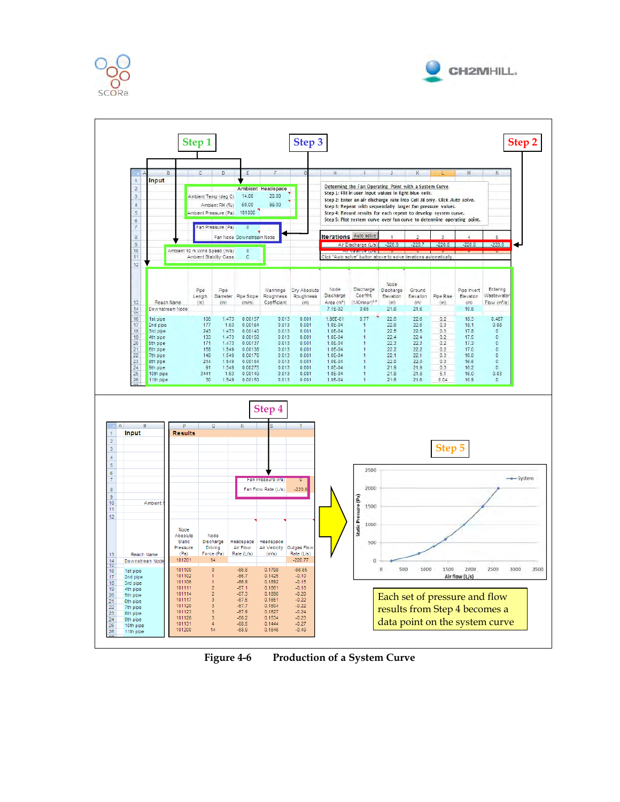





**Figure 4-6 Production of a System Curve**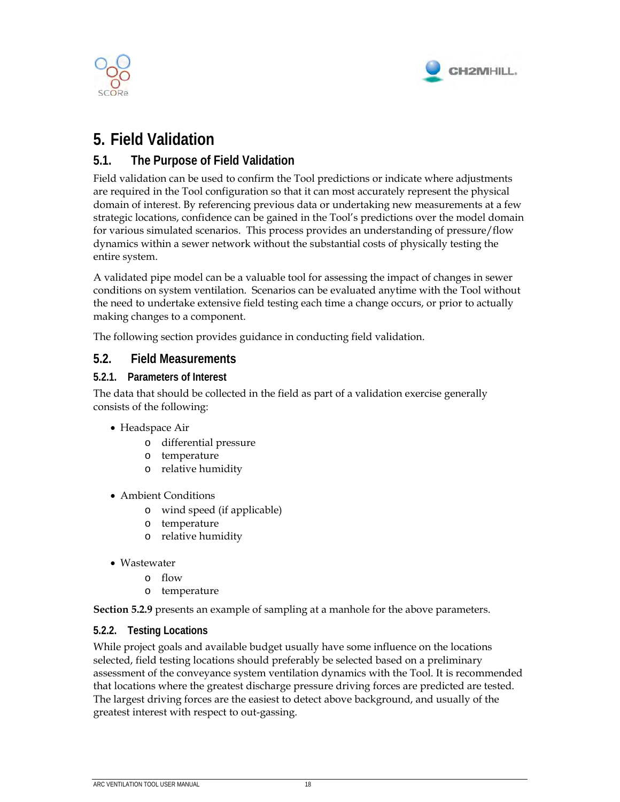



## **5. Field Validation**

## **5.1. The Purpose of Field Validation**

Field validation can be used to confirm the Tool predictions or indicate where adjustments are required in the Tool configuration so that it can most accurately represent the physical domain of interest. By referencing previous data or undertaking new measurements at a few strategic locations, confidence can be gained in the Tool's predictions over the model domain for various simulated scenarios. This process provides an understanding of pressure/flow dynamics within a sewer network without the substantial costs of physically testing the entire system.

A validated pipe model can be a valuable tool for assessing the impact of changes in sewer conditions on system ventilation. Scenarios can be evaluated anytime with the Tool without the need to undertake extensive field testing each time a change occurs, or prior to actually making changes to a component.

The following section provides guidance in conducting field validation.

#### **5.2. Field Measurements**

#### **5.2.1. Parameters of Interest**

The data that should be collected in the field as part of a validation exercise generally consists of the following:

- Headspace Air
	- o differential pressure
	- o temperature
	- o relative humidity
- Ambient Conditions
	- o wind speed (if applicable)
	- o temperature
	- o relative humidity
- Wastewater
	- o flow
	- o temperature

**Section 5.2.9** presents an example of sampling at a manhole for the above parameters.

#### **5.2.2. Testing Locations**

While project goals and available budget usually have some influence on the locations selected, field testing locations should preferably be selected based on a preliminary assessment of the conveyance system ventilation dynamics with the Tool. It is recommended that locations where the greatest discharge pressure driving forces are predicted are tested. The largest driving forces are the easiest to detect above background, and usually of the greatest interest with respect to out-gassing.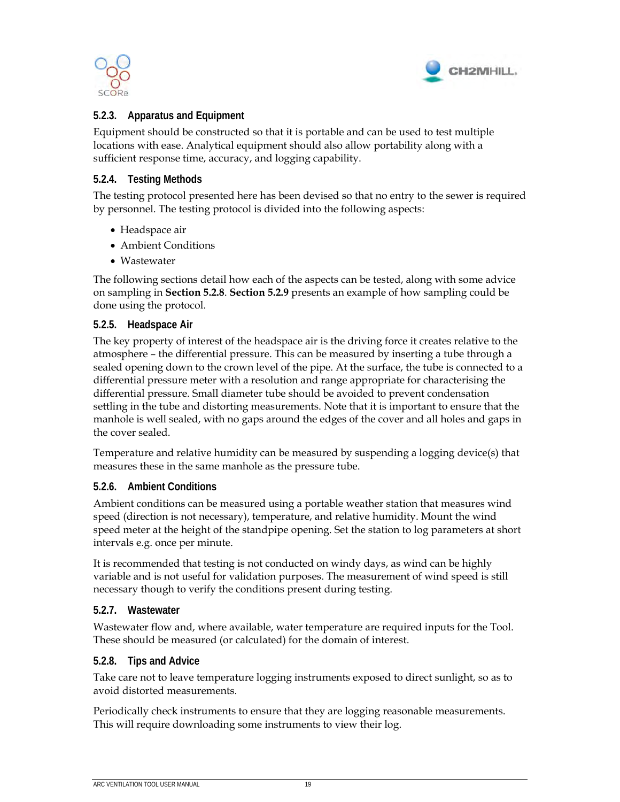



#### **5.2.3. Apparatus and Equipment**

Equipment should be constructed so that it is portable and can be used to test multiple locations with ease. Analytical equipment should also allow portability along with a sufficient response time, accuracy, and logging capability.

#### **5.2.4. Testing Methods**

The testing protocol presented here has been devised so that no entry to the sewer is required by personnel. The testing protocol is divided into the following aspects:

- Headspace air
- Ambient Conditions
- Wastewater

The following sections detail how each of the aspects can be tested, along with some advice on sampling in **Section 5.2.8**. **Section 5.2.9** presents an example of how sampling could be done using the protocol.

#### **5.2.5. Headspace Air**

The key property of interest of the headspace air is the driving force it creates relative to the atmosphere – the differential pressure. This can be measured by inserting a tube through a sealed opening down to the crown level of the pipe. At the surface, the tube is connected to a differential pressure meter with a resolution and range appropriate for characterising the differential pressure. Small diameter tube should be avoided to prevent condensation settling in the tube and distorting measurements. Note that it is important to ensure that the manhole is well sealed, with no gaps around the edges of the cover and all holes and gaps in the cover sealed.

Temperature and relative humidity can be measured by suspending a logging device(s) that measures these in the same manhole as the pressure tube.

#### **5.2.6. Ambient Conditions**

Ambient conditions can be measured using a portable weather station that measures wind speed (direction is not necessary), temperature, and relative humidity. Mount the wind speed meter at the height of the standpipe opening. Set the station to log parameters at short intervals e.g. once per minute.

It is recommended that testing is not conducted on windy days, as wind can be highly variable and is not useful for validation purposes. The measurement of wind speed is still necessary though to verify the conditions present during testing.

#### **5.2.7. Wastewater**

Wastewater flow and, where available, water temperature are required inputs for the Tool. These should be measured (or calculated) for the domain of interest.

#### **5.2.8. Tips and Advice**

Take care not to leave temperature logging instruments exposed to direct sunlight, so as to avoid distorted measurements.

Periodically check instruments to ensure that they are logging reasonable measurements. This will require downloading some instruments to view their log.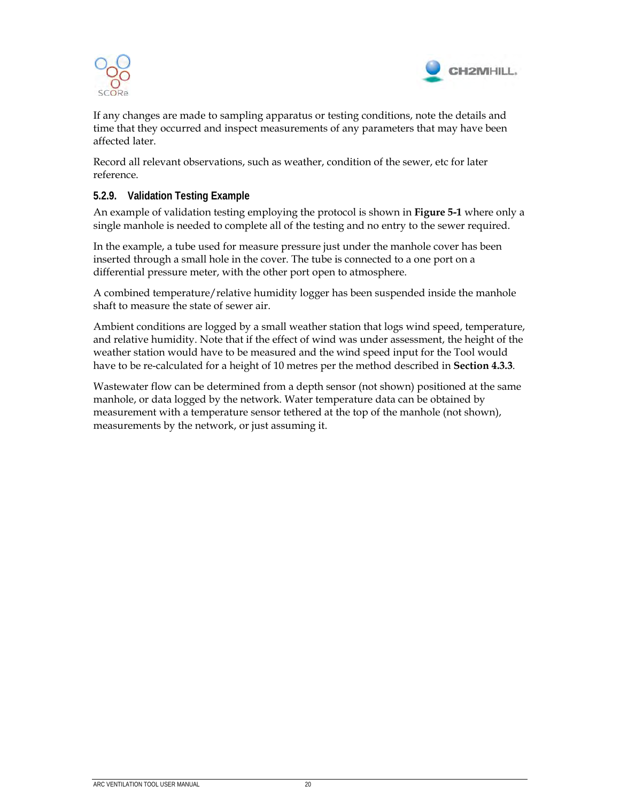



If any changes are made to sampling apparatus or testing conditions, note the details and time that they occurred and inspect measurements of any parameters that may have been affected later.

Record all relevant observations, such as weather, condition of the sewer, etc for later reference.

#### **5.2.9. Validation Testing Example**

An example of validation testing employing the protocol is shown in **Figure 5-1** where only a single manhole is needed to complete all of the testing and no entry to the sewer required.

In the example, a tube used for measure pressure just under the manhole cover has been inserted through a small hole in the cover. The tube is connected to a one port on a differential pressure meter, with the other port open to atmosphere.

A combined temperature/relative humidity logger has been suspended inside the manhole shaft to measure the state of sewer air.

Ambient conditions are logged by a small weather station that logs wind speed, temperature, and relative humidity. Note that if the effect of wind was under assessment, the height of the weather station would have to be measured and the wind speed input for the Tool would have to be re-calculated for a height of 10 metres per the method described in **Section 4.3.3**.

Wastewater flow can be determined from a depth sensor (not shown) positioned at the same manhole, or data logged by the network. Water temperature data can be obtained by measurement with a temperature sensor tethered at the top of the manhole (not shown), measurements by the network, or just assuming it.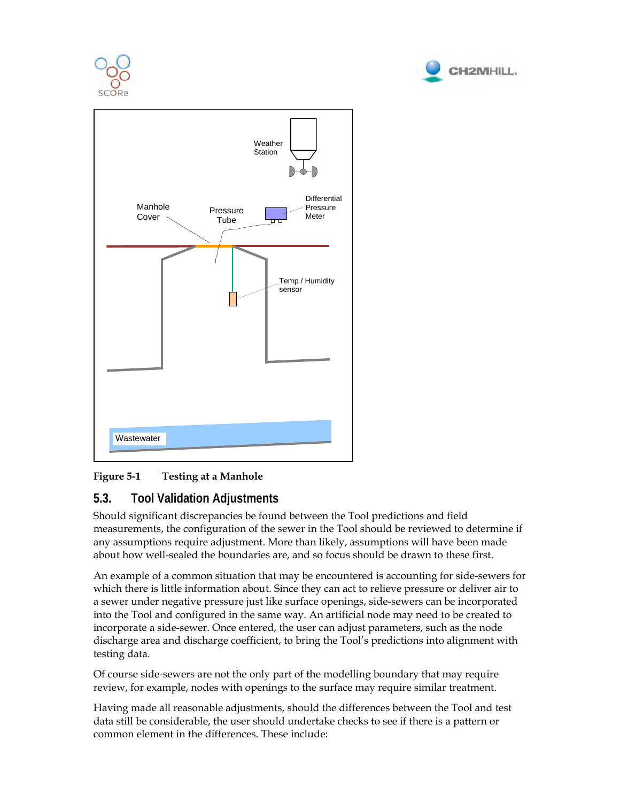





### **Figure 5-1 Testing at a Manhole**

### **5.3. Tool Validation Adjustments**

Should significant discrepancies be found between the Tool predictions and field measurements, the configuration of the sewer in the Tool should be reviewed to determine if any assumptions require adjustment. More than likely, assumptions will have been made about how well-sealed the boundaries are, and so focus should be drawn to these first.

An example of a common situation that may be encountered is accounting for side-sewers for which there is little information about. Since they can act to relieve pressure or deliver air to a sewer under negative pressure just like surface openings, side-sewers can be incorporated into the Tool and configured in the same way. An artificial node may need to be created to incorporate a side-sewer. Once entered, the user can adjust parameters, such as the node discharge area and discharge coefficient, to bring the Tool's predictions into alignment with testing data.

Of course side-sewers are not the only part of the modelling boundary that may require review, for example, nodes with openings to the surface may require similar treatment.

Having made all reasonable adjustments, should the differences between the Tool and test data still be considerable, the user should undertake checks to see if there is a pattern or common element in the differences. These include: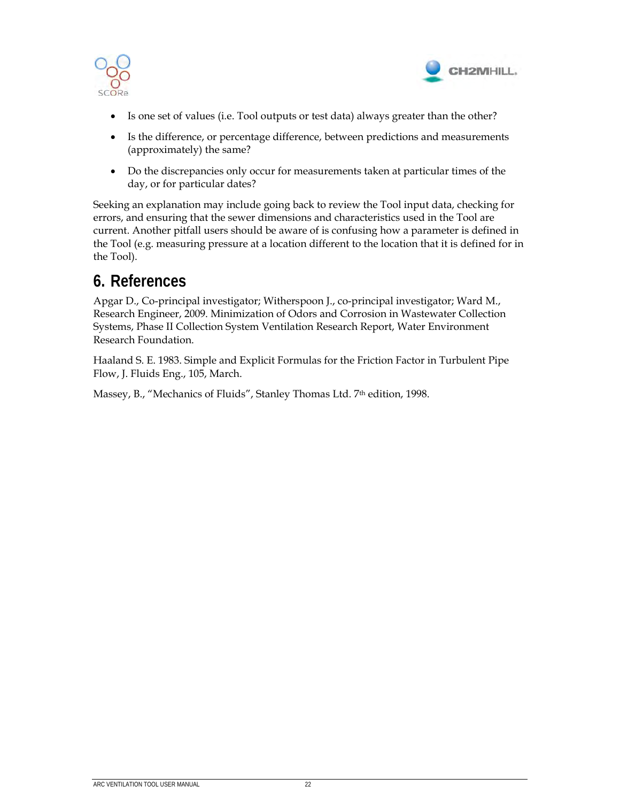



- Is one set of values (i.e. Tool outputs or test data) always greater than the other?
- Is the difference, or percentage difference, between predictions and measurements (approximately) the same?
- Do the discrepancies only occur for measurements taken at particular times of the day, or for particular dates?

Seeking an explanation may include going back to review the Tool input data, checking for errors, and ensuring that the sewer dimensions and characteristics used in the Tool are current. Another pitfall users should be aware of is confusing how a parameter is defined in the Tool (e.g. measuring pressure at a location different to the location that it is defined for in the Tool).

## **6. References**

Apgar D., Co-principal investigator; Witherspoon J., co-principal investigator; Ward M., Research Engineer, 2009. Minimization of Odors and Corrosion in Wastewater Collection Systems, Phase II Collection System Ventilation Research Report, Water Environment Research Foundation.

Haaland S. E. 1983. Simple and Explicit Formulas for the Friction Factor in Turbulent Pipe Flow, J. Fluids Eng., 105, March.

Massey, B., "Mechanics of Fluids", Stanley Thomas Ltd. 7th edition, 1998.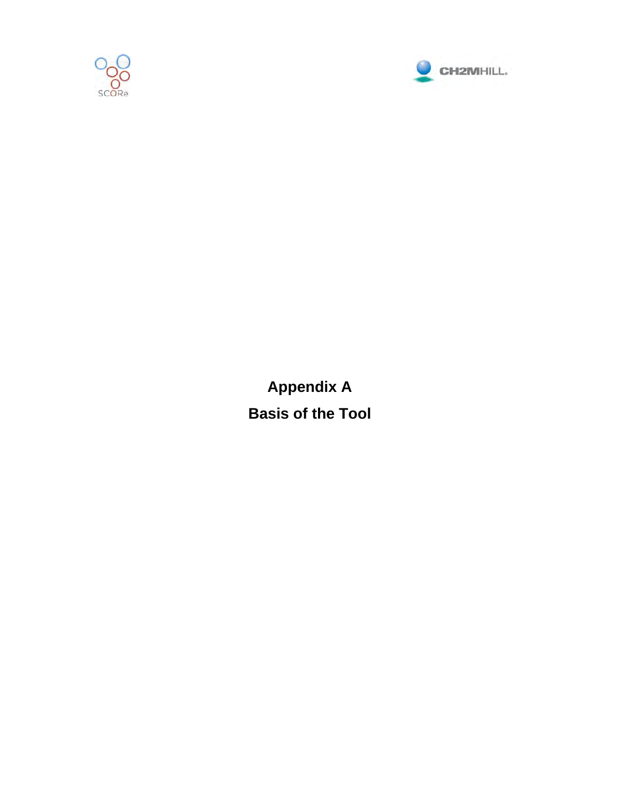



**Appendix A Basis of the Tool**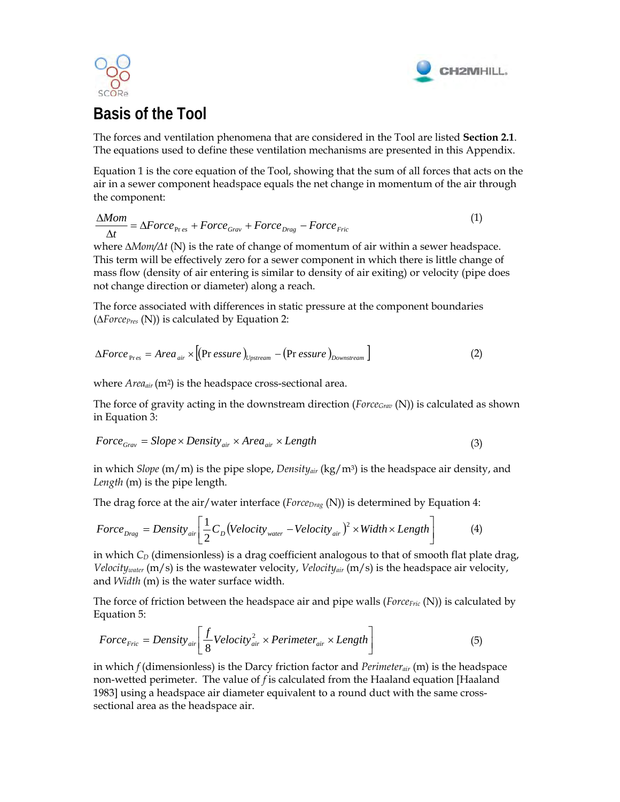



## **Basis of the Tool**

The forces and ventilation phenomena that are considered in the Tool are listed **Section 2.1**. The equations used to define these ventilation mechanisms are presented in this Appendix.

Equation 1 is the core equation of the Tool, showing that the sum of all forces that acts on the air in a sewer component headspace equals the net change in momentum of the air through the component:

$$
\frac{\Delta Mom}{\Delta t} = \Delta Force_{\text{Pre}} + Force_{\text{Graw}} + Force_{\text{Drag}} - Force_{\text{Fric}} \tag{1}
$$

where *∆Mom/Δt* (N) is the rate of change of momentum of air within a sewer headspace. This term will be effectively zero for a sewer component in which there is little change of mass flow (density of air entering is similar to density of air exiting) or velocity (pipe does not change direction or diameter) along a reach.

The force associated with differences in static pressure at the component boundaries (*∆ForcePres* (N)) is calculated by Equation 2:

$$
\Delta Force_{Pres} = Area_{air} \times [(Pr \,essure)_{Upstream} - (Pr \,essure)_{Downstream}] \tag{2}
$$

where *Area<sub>air</sub>* (m<sup>2</sup>) is the headspace cross-sectional area.

The force of gravity acting in the downstream direction (*ForceGrav* (N)) is calculated as shown in Equation 3:

$$
Force_{Graw} = Slope \times Density_{air} \times Area_{air} \times Length
$$
\n(3)

in which *Slope* (m/m) is the pipe slope, *Densityair* (kg/m3) is the headspace air density, and *Length* (m) is the pipe length.

The drag force at the air/water interface (*Force<sub>Drag</sub>* (N)) is determined by Equation 4:

$$
Force_{\text{drag}} = Density_{\text{air}} \left[ \frac{1}{2} C_D (Velocity_{\text{water}} - Velocity_{\text{air}})^2 \times Width \times Length \right]
$$
 (4)

in which  $C_D$  (dimensionless) is a drag coefficient analogous to that of smooth flat plate drag, *Velocitywater* (m/s) is the wastewater velocity, *Velocityair* (m/s) is the headspace air velocity, and *Width* (m) is the water surface width.

The force of friction between the headspace air and pipe walls (*Force<sub>Fric</sub>* (N)) is calculated by Equation 5:

$$
Force_{Fric} = Density_{air} \left[ \frac{f}{8} Velocity_{air}^{2} \times Perimeter_{air} \times Length \right]
$$
 (5)

in which *f* (dimensionless) is the Darcy friction factor and *Perimeterair* (m) is the headspace non-wetted perimeter. The value of *f* is calculated from the Haaland equation [Haaland 1983] using a headspace air diameter equivalent to a round duct with the same crosssectional area as the headspace air.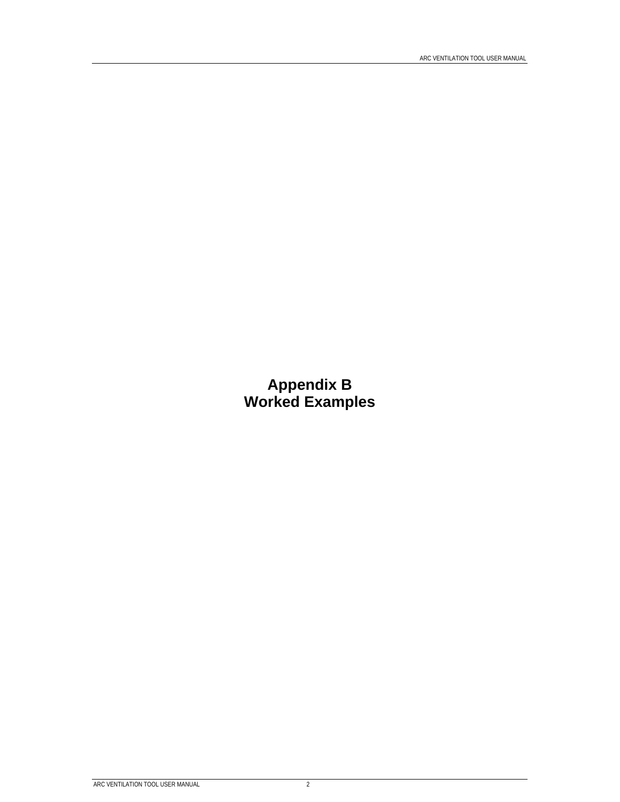**Appendix B Worked Examples**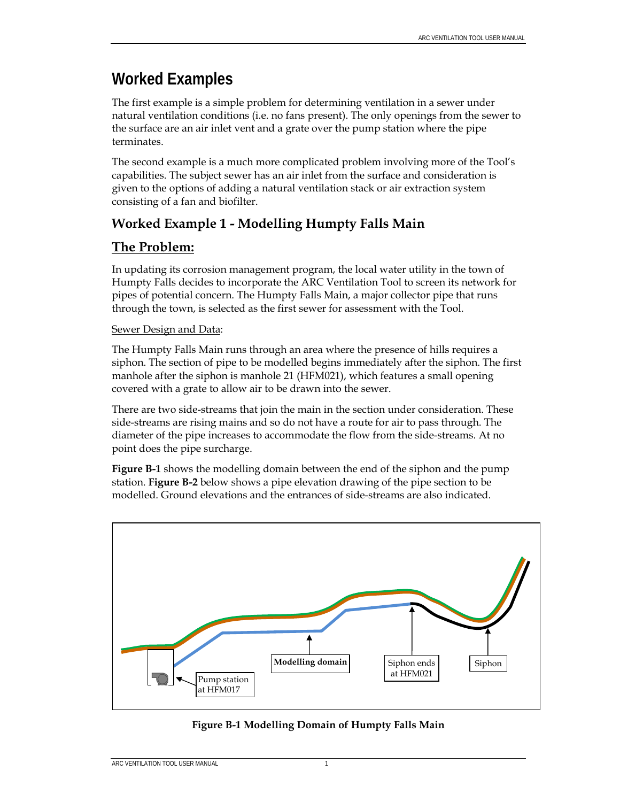## **Worked Examples**

The first example is a simple problem for determining ventilation in a sewer under natural ventilation conditions (i.e. no fans present). The only openings from the sewer to the surface are an air inlet vent and a grate over the pump station where the pipe terminates.

The second example is a much more complicated problem involving more of the Tool's capabilities. The subject sewer has an air inlet from the surface and consideration is given to the options of adding a natural ventilation stack or air extraction system consisting of a fan and biofilter.

## **Worked Example 1 - Modelling Humpty Falls Main**

## **The Problem:**

In updating its corrosion management program, the local water utility in the town of Humpty Falls decides to incorporate the ARC Ventilation Tool to screen its network for pipes of potential concern. The Humpty Falls Main, a major collector pipe that runs through the town, is selected as the first sewer for assessment with the Tool.

#### Sewer Design and Data:

The Humpty Falls Main runs through an area where the presence of hills requires a siphon. The section of pipe to be modelled begins immediately after the siphon. The first manhole after the siphon is manhole 21 (HFM021), which features a small opening covered with a grate to allow air to be drawn into the sewer.

There are two side-streams that join the main in the section under consideration. These side-streams are rising mains and so do not have a route for air to pass through. The diameter of the pipe increases to accommodate the flow from the side-streams. At no point does the pipe surcharge.

**Figure B-1** shows the modelling domain between the end of the siphon and the pump station. **Figure B-2** below shows a pipe elevation drawing of the pipe section to be modelled. Ground elevations and the entrances of side-streams are also indicated.



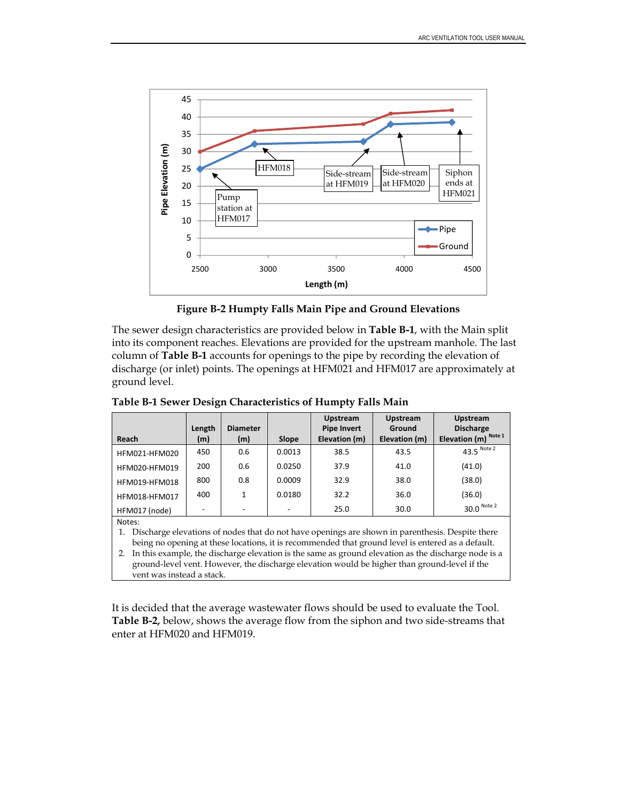

**Figure B-2 Humpty Falls Main Pipe and Ground Elevations** 

The sewer design characteristics are provided below in **Table B-1**, with the Main split into its component reaches. Elevations are provided for the upstream manhole. The last column of **Table B-1** accounts for openings to the pipe by recording the elevation of discharge (or inlet) points. The openings at HFM021 and HFM017 are approximately at ground level.

| Reach                | Length<br>(m)            | <b>Diameter</b><br>(m) | Slope                    | <b>Upstream</b><br><b>Pipe Invert</b><br>Elevation (m) | <b>Upstream</b><br>Ground<br>Elevation (m) | <b>Upstream</b><br><b>Discharge</b><br>Elevation (m) <sup>Note 1</sup> |
|----------------------|--------------------------|------------------------|--------------------------|--------------------------------------------------------|--------------------------------------------|------------------------------------------------------------------------|
| HFM021-HFM020        | 450                      | 0.6                    | 0.0013                   | 38.5                                                   | 43.5                                       | 43.5 Note 2                                                            |
| HFM020-HFM019        | 200                      | 0.6                    | 0.0250                   | 37.9                                                   | 41.0                                       | (41.0)                                                                 |
| HFM019-HFM018        | 800                      | 0.8                    | 0.0009                   | 32.9                                                   | 38.0                                       | (38.0)                                                                 |
| <b>HFM018-HFM017</b> | 400                      | 1                      | 0.0180                   | 32.2                                                   | 36.0                                       | (36.0)                                                                 |
| HFM017 (node)        | $\overline{\phantom{0}}$ |                        | $\overline{\phantom{0}}$ | 25.0                                                   | 30.0                                       | 30.0 Note 2                                                            |
| Notes:               |                          |                        |                          |                                                        |                                            |                                                                        |

**Table B-1 Sewer Design Characteristics of Humpty Falls Main** 

Notes:

1. Discharge elevations of nodes that do not have openings are shown in parenthesis. Despite there being no opening at these locations, it is recommended that ground level is entered as a default.

2. In this example, the discharge elevation is the same as ground elevation as the discharge node is a ground-level vent. However, the discharge elevation would be higher than ground-level if the vent was instead a stack.

It is decided that the average wastewater flows should be used to evaluate the Tool. **Table B-2,** below, shows the average flow from the siphon and two side-streams that enter at HFM020 and HFM019.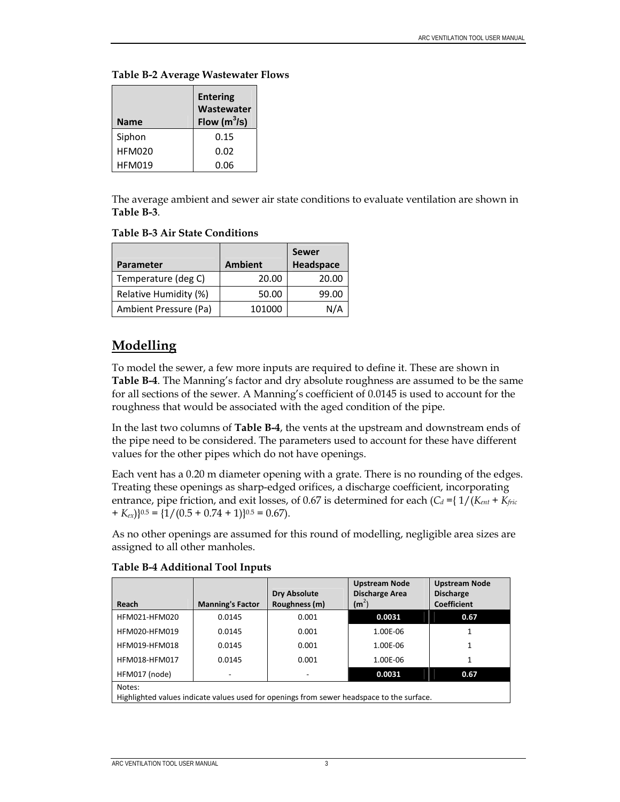| Name          | <b>Entering</b><br>Wastewater<br>Flow $(m^3/s)$ |
|---------------|-------------------------------------------------|
| Siphon        | 0.15                                            |
| <b>HFM020</b> | 0.02                                            |
| <b>HFM019</b> | 0.06                                            |

The average ambient and sewer air state conditions to evaluate ventilation are shown in **Table B-3**.

#### **Table B-3 Air State Conditions**

|                       |                | <b>Sewer</b> |
|-----------------------|----------------|--------------|
| Parameter             | <b>Ambient</b> | Headspace    |
| Temperature (deg C)   | 20.00          | 20.00        |
| Relative Humidity (%) | 50.00          | 99.00        |
| Ambient Pressure (Pa) | 101000         | N/4          |

## **Modelling**

To model the sewer, a few more inputs are required to define it. These are shown in **Table B-4**. The Manning's factor and dry absolute roughness are assumed to be the same for all sections of the sewer. A Manning's coefficient of 0.0145 is used to account for the roughness that would be associated with the aged condition of the pipe.

In the last two columns of **Table B-4**, the vents at the upstream and downstream ends of the pipe need to be considered. The parameters used to account for these have different values for the other pipes which do not have openings.

Each vent has a 0.20 m diameter opening with a grate. There is no rounding of the edges. Treating these openings as sharp-edged orifices, a discharge coefficient, incorporating entrance, pipe friction, and exit losses, of 0.67 is determined for each  $(C_d = \{ 1/(K_{ent} + K_{fric})\})$  $+ K_{ex}$  $(0.5 + 0.74 + 1)$  $(0.5 + 0.74 + 1)$  $(0.5 + 0.67)$ .

As no other openings are assumed for this round of modelling, negligible area sizes are assigned to all other manholes.

| Reach                                                                                               | <b>Manning's Factor</b> | <b>Dry Absolute</b><br>Roughness (m) | <b>Upstream Node</b><br><b>Discharge Area</b><br>$(m^2)$ | <b>Upstream Node</b><br><b>Discharge</b><br><b>Coefficient</b> |  |  |  |
|-----------------------------------------------------------------------------------------------------|-------------------------|--------------------------------------|----------------------------------------------------------|----------------------------------------------------------------|--|--|--|
| HFM021-HFM020                                                                                       | 0.0145                  | 0.001                                | 0.0031                                                   | 0.67                                                           |  |  |  |
| HFM020-HFM019                                                                                       | 0.0145                  | 0.001                                | 1.00E-06                                                 |                                                                |  |  |  |
| HFM019-HFM018                                                                                       | 0.0145                  | 0.001                                | 1.00E-06                                                 |                                                                |  |  |  |
| HFM018-HFM017                                                                                       | 0.0145                  | 0.001                                | 1.00E-06                                                 |                                                                |  |  |  |
| 0.0031<br>0.67<br>HFM017 (node)                                                                     |                         |                                      |                                                          |                                                                |  |  |  |
| Notes:<br>Highlighted values indicate values used for openings from sewer headspace to the surface. |                         |                                      |                                                          |                                                                |  |  |  |

**Table B-4 Additional Tool Inputs**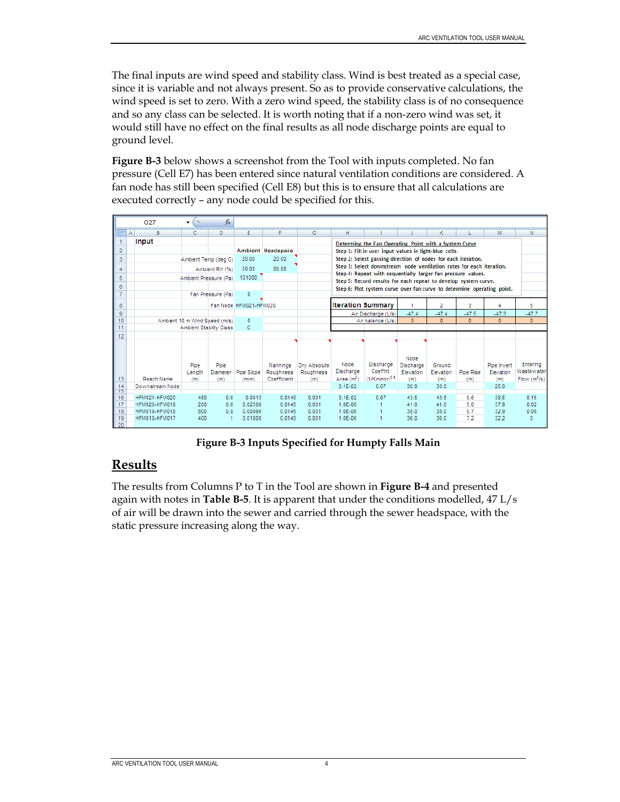The final inputs are wind speed and stability class. Wind is best treated as a special case, since it is variable and not always present. So as to provide conservative calculations, the wind speed is set to zero. With a zero wind speed, the stability class is of no consequence and so any class can be selected. It is worth noting that if a non-zero wind was set, it would still have no effect on the final results as all node discharge points are equal to ground level.

**Figure B-3** below shows a screenshot from the Tool with inputs completed. No fan pressure (Cell E7) has been entered since natural ventilation conditions are considered. A fan node has still been specified (Cell E8) but this is to ensure that all calculations are executed correctly – any node could be specified for this.

|                 | O <sub>27</sub>                | ۰                             | $f_x$                          |                        |                       |                                                                        |                                                        |                                                                                                                                      |                                       |                     |              |                          |                         |
|-----------------|--------------------------------|-------------------------------|--------------------------------|------------------------|-----------------------|------------------------------------------------------------------------|--------------------------------------------------------|--------------------------------------------------------------------------------------------------------------------------------------|---------------------------------------|---------------------|--------------|--------------------------|-------------------------|
|                 | $\mathsf{A}$<br>B              | с                             | D.                             | E.                     | F                     | G                                                                      | H.                                                     |                                                                                                                                      |                                       | κ                   |              | M                        | N                       |
|                 | Input                          |                               |                                |                        |                       |                                                                        |                                                        | Determing the Fan Operating Point with a System Curve                                                                                |                                       |                     |              |                          |                         |
| $\overline{2}$  |                                |                               |                                |                        | Ambient Headspace     |                                                                        | Step 1: Fill in user input values in light-blue cells. |                                                                                                                                      |                                       |                     |              |                          |                         |
| 3               |                                | Ambient Temp (deg C)          |                                | 20.00                  | 20.00                 |                                                                        |                                                        | Step 2: Select gassing direction of nodes for each iteration.                                                                        |                                       |                     |              |                          |                         |
| 4               |                                |                               | Ambient RH (%)                 | 50.00                  | 99.00                 |                                                                        |                                                        | Step 3: Select downstream node ventilation rates for each iteration.<br>Step 4: Repeat with sequentially larger fan pressure values. |                                       |                     |              |                          |                         |
| 5               |                                | Ambient Pressure (Pa)         |                                | 101000                 |                       |                                                                        |                                                        | Step 5: Record results for each repeat to develop system curve.                                                                      |                                       |                     |              |                          |                         |
| 6               |                                |                               |                                |                        |                       |                                                                        |                                                        |                                                                                                                                      |                                       |                     |              |                          |                         |
| $\overline{7}$  |                                |                               | Fan Pressure (Pa)              | $\mathbf{0}$           |                       | Step 6: Plot system curve over fan curve to determine operating point. |                                                        |                                                                                                                                      |                                       |                     |              |                          |                         |
| 8               |                                |                               |                                | Fan Node HFM021-HFM020 |                       |                                                                        |                                                        | <b>Iteration Summary</b>                                                                                                             |                                       | 2                   | 3            |                          | 5                       |
| 9               |                                |                               |                                |                        |                       |                                                                        |                                                        | Air Discharge (L/s)                                                                                                                  | $-47.4$                               | $-47.4$             | $-47.5$      | $-47.3$                  | $-47.7$                 |
| 10              |                                | Ambient 10 m Wind Speed (m/s) |                                | $\Omega$               |                       |                                                                        |                                                        | Air balance (L/s)                                                                                                                    | $\Omega$                              | $\mathbf{0}$        | $\mathbf{0}$ | $\mathbf{0}$             | $\overline{0}$          |
| 11              |                                |                               | <b>Ambient Stability Class</b> | с                      |                       |                                                                        |                                                        |                                                                                                                                      |                                       |                     |              |                          |                         |
| 12              |                                |                               |                                |                        |                       |                                                                        |                                                        |                                                                                                                                      |                                       |                     |              |                          |                         |
|                 |                                | Pipe<br>Length                | Pipe<br><b>Diameter</b>        | Pipe Slope             | Mannings<br>Roughness | Drv Absolute<br>Roughness                                              | Node<br><b>Discharge</b>                               | Discharge<br>Coeffnt.                                                                                                                | Node<br><b>Discharge</b><br>Elevation | Ground<br>Elevation | Pipe Rise    | Pipe Invert<br>Elevation | Entering<br>Wastewater  |
| 13              | Reach Name                     | (m)                           | (m)                            | (m/m)                  | Coefficient           | (m)                                                                    | Area $(m2)$                                            | $(1/K$ minor $)^{0.5}$                                                                                                               | (m)                                   | (m)                 | (m)          | (m)                      | Flow(m <sup>3</sup> /s) |
| $\frac{14}{15}$ | Downstream Node                |                               |                                |                        |                       |                                                                        | 3.1E-02                                                | 0.67                                                                                                                                 | 30.0                                  | 30.0                |              | 25.0                     |                         |
| 16              | <b>HFM021-HFM020</b>           | 450                           | 0.6                            | 0.0013                 | 0.0145                | 0.001                                                                  | 3.1E-02                                                | 0.67                                                                                                                                 | 43.5                                  | 43.5                | 0.6          | 38.5                     | 0.15                    |
| 17              | HFM020-HFM019                  | 200                           | 0.6                            | 0.02500                | 0.0145                | 0.001                                                                  | 1.0E-06                                                |                                                                                                                                      | 41.0                                  | 41.0                | 5.0          | 37.9                     | 0.02                    |
| 18<br>19        | HFM019-HFM018<br>HFM018-HFM017 | 800<br>400                    | 0.8<br>1                       | 0.00090<br>0.01800     | 0.0145<br>0.0145      | 0.001<br>0.001                                                         | 1.0E-06<br>1.0E-06                                     |                                                                                                                                      | 38.0<br>36.0                          | 38.0<br>36.0        | 0.7<br>7.2   | 32.9<br>32.2             | 0.06<br>0               |
| 20              |                                |                               |                                |                        |                       |                                                                        |                                                        |                                                                                                                                      |                                       |                     |              |                          |                         |

**Figure B-3 Inputs Specified for Humpty Falls Main** 

## **Results**

The results from Columns P to T in the Tool are shown in **Figure B-4** and presented again with notes in **Table B-5**. It is apparent that under the conditions modelled, 47 L/s of air will be drawn into the sewer and carried through the sewer headspace, with the static pressure increasing along the way.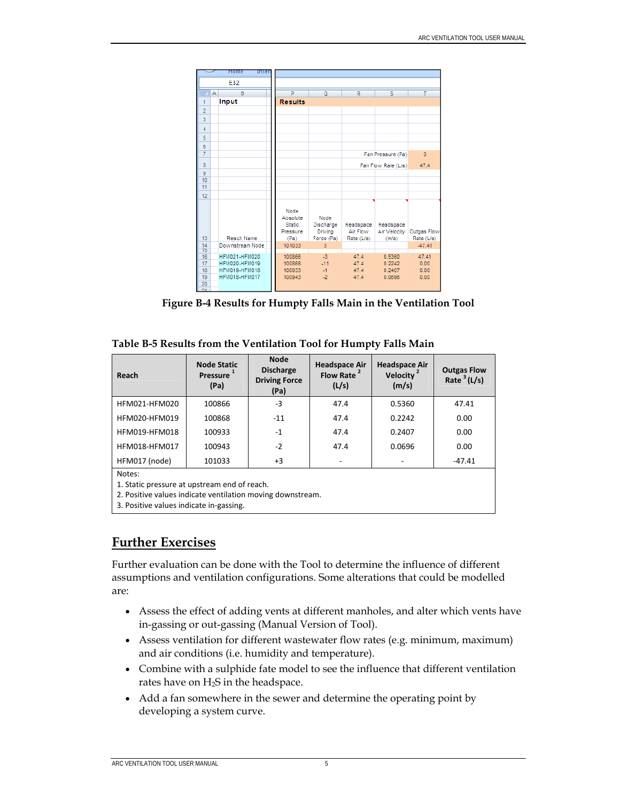|                                  | mome<br>Inser                                                                  |                                                       |                                            |                                     |                                      |                               |
|----------------------------------|--------------------------------------------------------------------------------|-------------------------------------------------------|--------------------------------------------|-------------------------------------|--------------------------------------|-------------------------------|
|                                  | E32                                                                            |                                                       |                                            |                                     |                                      |                               |
|                                  | B<br>А                                                                         | P                                                     | $\Omega$                                   | R                                   | s                                    | т                             |
| 1                                | Input                                                                          | <b>Results</b>                                        |                                            |                                     |                                      |                               |
| $\overline{2}$                   |                                                                                |                                                       |                                            |                                     |                                      |                               |
| $\overline{3}$                   |                                                                                |                                                       |                                            |                                     |                                      |                               |
| 4                                |                                                                                |                                                       |                                            |                                     |                                      |                               |
| 5                                |                                                                                |                                                       |                                            |                                     |                                      |                               |
| 6                                |                                                                                |                                                       |                                            |                                     |                                      |                               |
| 7                                |                                                                                |                                                       |                                            |                                     | Fan Pressure (Pa)                    | $\bf{0}$                      |
| 8                                |                                                                                |                                                       |                                            | Fan Flow Rate (L/s)                 |                                      | 47.4                          |
| $\overline{9}$                   |                                                                                |                                                       |                                            |                                     |                                      |                               |
| 10                               |                                                                                |                                                       |                                            |                                     |                                      |                               |
| 11                               |                                                                                |                                                       |                                            |                                     |                                      |                               |
| 12                               |                                                                                |                                                       |                                            |                                     |                                      |                               |
| 13                               | Reach Name                                                                     | Node<br>Absolute<br><b>Static</b><br>Pressure<br>(Pa) | Node<br>Discharge<br>Driving<br>Force (Pa) | Headspace<br>Air Flow<br>Rate (L/s) | Headspace<br>Air Velocity<br>(m/s)   | Outgas Flow<br>Rate (L/s)     |
| 14                               | Downstream Node                                                                | 101033                                                | 3                                          |                                     |                                      | $-47.41$                      |
| Ť5<br>16<br>17<br>18<br>19<br>20 | <b>HFM021-HFM020</b><br><b>HFM020-HFM019</b><br>HFM019-HFM018<br>HFM018-HFM017 | 100866<br>100868<br>100933<br>100943                  | $-3$<br>$-11$<br>$-1$<br>$-2$              | 47.4<br>47.4<br>47.4<br>47.4        | 0.5360<br>0.2242<br>0.2407<br>0.0696 | 47.41<br>0.00<br>0.00<br>0.00 |
|                                  |                                                                                |                                                       |                                            |                                     |                                      |                               |

**Figure B-4 Results for Humpty Falls Main in the Ventilation Tool** 

| Table B-5 Results from the Ventilation Tool for Humpty Falls Main |  |  |
|-------------------------------------------------------------------|--|--|
|-------------------------------------------------------------------|--|--|

| Reach                                                                                                                                                           | <b>Node Static</b><br>Pressure 1<br>(Pa) | <b>Node</b><br><b>Discharge</b><br><b>Driving Force</b><br>(Pa) | <b>Headspace Air</b><br>Flow Rate <sup>2</sup><br>(L/s) | <b>Headspace Air</b><br>Velocity <sup>2</sup><br>(m/s) | <b>Outgas Flow</b><br>Rate $3(L/s)$ |  |  |  |
|-----------------------------------------------------------------------------------------------------------------------------------------------------------------|------------------------------------------|-----------------------------------------------------------------|---------------------------------------------------------|--------------------------------------------------------|-------------------------------------|--|--|--|
| HFM021-HFM020                                                                                                                                                   | 100866                                   | $-3$                                                            | 47.4                                                    | 0.5360                                                 | 47.41                               |  |  |  |
| HFM020-HFM019                                                                                                                                                   | 100868                                   | $-11$                                                           | 47.4                                                    | 0.2242                                                 | 0.00                                |  |  |  |
| HFM019-HFM018                                                                                                                                                   | 100933                                   | $-1$                                                            | 47.4                                                    | 0.2407                                                 | 0.00                                |  |  |  |
| HFM018-HFM017                                                                                                                                                   | 100943                                   | $-2$                                                            | 47.4                                                    | 0.0696                                                 | 0.00                                |  |  |  |
| HFM017 (node)                                                                                                                                                   | $+3$<br>101033<br>$-47.41$               |                                                                 |                                                         |                                                        |                                     |  |  |  |
| Notes:<br>1. Static pressure at upstream end of reach.<br>2. Positive values indicate ventilation moving downstream.<br>3. Positive values indicate in-gassing. |                                          |                                                                 |                                                         |                                                        |                                     |  |  |  |

### **Further Exercises**

Further evaluation can be done with the Tool to determine the influence of different assumptions and ventilation configurations. Some alterations that could be modelled are:

- Assess the effect of adding vents at different manholes, and alter which vents have in-gassing or out-gassing (Manual Version of Tool).
- Assess ventilation for different wastewater flow rates (e.g. minimum, maximum) and air conditions (i.e. humidity and temperature).
- Combine with a sulphide fate model to see the influence that different ventilation rates have on  $H_2S$  in the headspace.
- Add a fan somewhere in the sewer and determine the operating point by developing a system curve.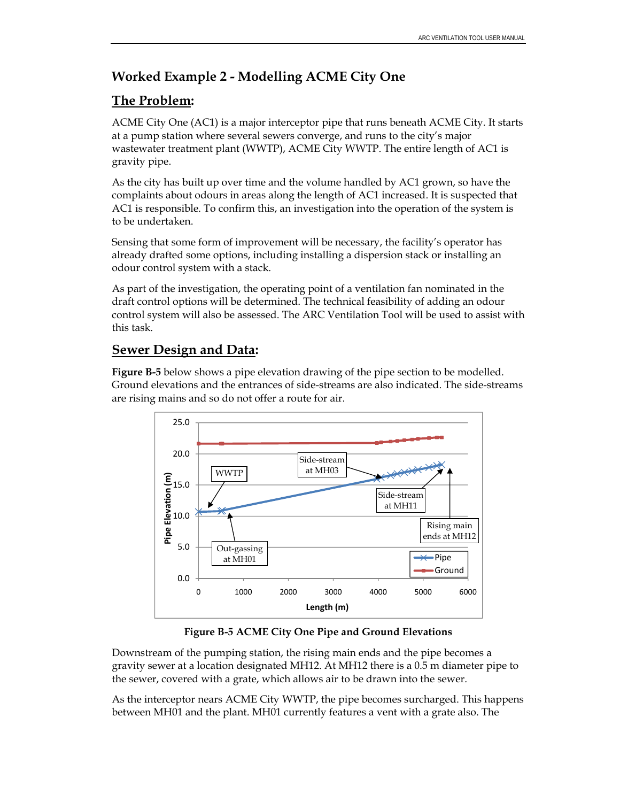## **Worked Example 2 - Modelling ACME City One**

## **The Problem:**

ACME City One (AC1) is a major interceptor pipe that runs beneath ACME City. It starts at a pump station where several sewers converge, and runs to the city's major wastewater treatment plant (WWTP), ACME City WWTP. The entire length of AC1 is gravity pipe.

As the city has built up over time and the volume handled by AC1 grown, so have the complaints about odours in areas along the length of AC1 increased. It is suspected that AC1 is responsible. To confirm this, an investigation into the operation of the system is to be undertaken.

Sensing that some form of improvement will be necessary, the facility's operator has already drafted some options, including installing a dispersion stack or installing an odour control system with a stack.

As part of the investigation, the operating point of a ventilation fan nominated in the draft control options will be determined. The technical feasibility of adding an odour control system will also be assessed. The ARC Ventilation Tool will be used to assist with this task.

## **Sewer Design and Data:**

**Figure B-5** below shows a pipe elevation drawing of the pipe section to be modelled. Ground elevations and the entrances of side-streams are also indicated. The side-streams are rising mains and so do not offer a route for air.



**Figure B-5 ACME City One Pipe and Ground Elevations** 

Downstream of the pumping station, the rising main ends and the pipe becomes a gravity sewer at a location designated MH12. At MH12 there is a 0.5 m diameter pipe to the sewer, covered with a grate, which allows air to be drawn into the sewer.

As the interceptor nears ACME City WWTP, the pipe becomes surcharged. This happens between MH01 and the plant. MH01 currently features a vent with a grate also. The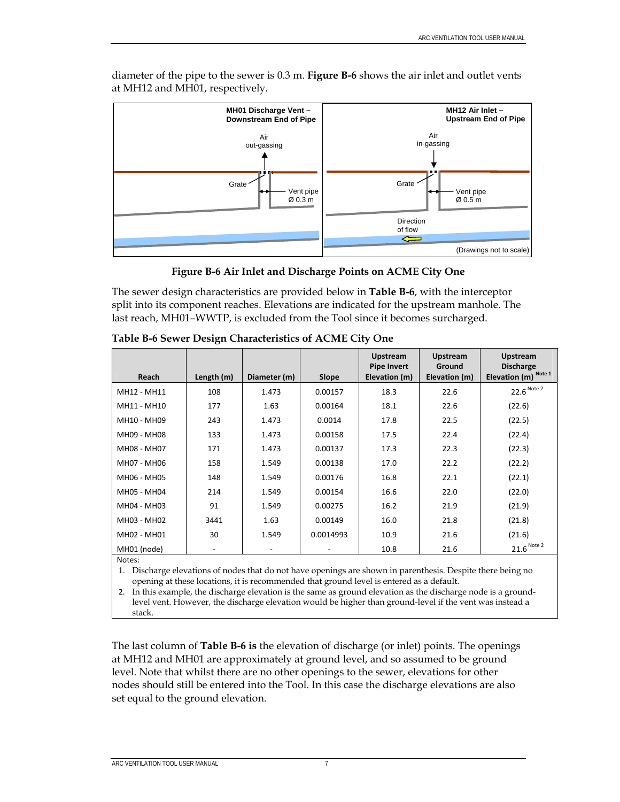

diameter of the pipe to the sewer is 0.3 m. **Figure B-6** shows the air inlet and outlet vents at MH12 and MH01, respectively.

**Figure B-6 Air Inlet and Discharge Points on ACME City One** 

The sewer design characteristics are provided below in **Table B-6**, with the interceptor split into its component reaches. Elevations are indicated for the upstream manhole. The last reach, MH01–WWTP, is excluded from the Tool since it becomes surcharged.

|             |            |                          |                          | <b>Upstream</b>                     | <b>Upstream</b>         | <b>Upstream</b>                          |
|-------------|------------|--------------------------|--------------------------|-------------------------------------|-------------------------|------------------------------------------|
| Reach       | Length (m) | Diameter (m)             | Slope                    | <b>Pipe Invert</b><br>Elevation (m) | Ground<br>Elevation (m) | <b>Discharge</b><br>Elevation (m) Note 1 |
| MH12 - MH11 | 108        | 1.473                    | 0.00157                  | 18.3                                | 22.6                    | $22.6$ Note 2                            |
| MH11 - MH10 | 177        | 1.63                     | 0.00164                  | 18.1                                | 22.6                    | (22.6)                                   |
| MH10 - MH09 | 243        | 1.473                    | 0.0014                   | 17.8                                | 22.5                    | (22.5)                                   |
| MH09 - MH08 | 133        | 1.473                    | 0.00158                  | 17.5                                | 22.4                    | (22.4)                                   |
| MH08 - MH07 | 171        | 1.473                    | 0.00137                  | 17.3                                | 22.3                    | (22.3)                                   |
| MH07 - MH06 | 158        | 1.549                    | 0.00138                  | 17.0                                | 22.2                    | (22.2)                                   |
| MH06 - MH05 | 148        | 1.549                    | 0.00176                  | 16.8                                | 22.1                    | (22.1)                                   |
| MH05 - MH04 | 214        | 1.549                    | 0.00154                  | 16.6                                | 22.0                    | (22.0)                                   |
| MH04 - MH03 | 91         | 1.549                    | 0.00275                  | 16.2                                | 21.9                    | (21.9)                                   |
| MH03 - MH02 | 3441       | 1.63                     | 0.00149                  | 16.0                                | 21.8                    | (21.8)                                   |
| MH02 - MH01 | 30         | 1.549                    | 0.0014993                | 10.9                                | 21.6                    | (21.6)                                   |
| MH01 (node) | -          | $\overline{\phantom{a}}$ | $\overline{\phantom{a}}$ | 10.8                                | 21.6                    | $21.6$ Note 2                            |
| Notes:      |            |                          |                          |                                     |                         |                                          |

**Table B-6 Sewer Design Characteristics of ACME City One** 

1. Discharge elevations of nodes that do not have openings are shown in parenthesis. Despite there being no opening at these locations, it is recommended that ground level is entered as a default.

2. In this example, the discharge elevation is the same as ground elevation as the discharge node is a groundlevel vent. However, the discharge elevation would be higher than ground-level if the vent was instead a stack.

The last column of **Table B-6 is** the elevation of discharge (or inlet) points. The openings at MH12 and MH01 are approximately at ground level, and so assumed to be ground level. Note that whilst there are no other openings to the sewer, elevations for other nodes should still be entered into the Tool. In this case the discharge elevations are also set equal to the ground elevation.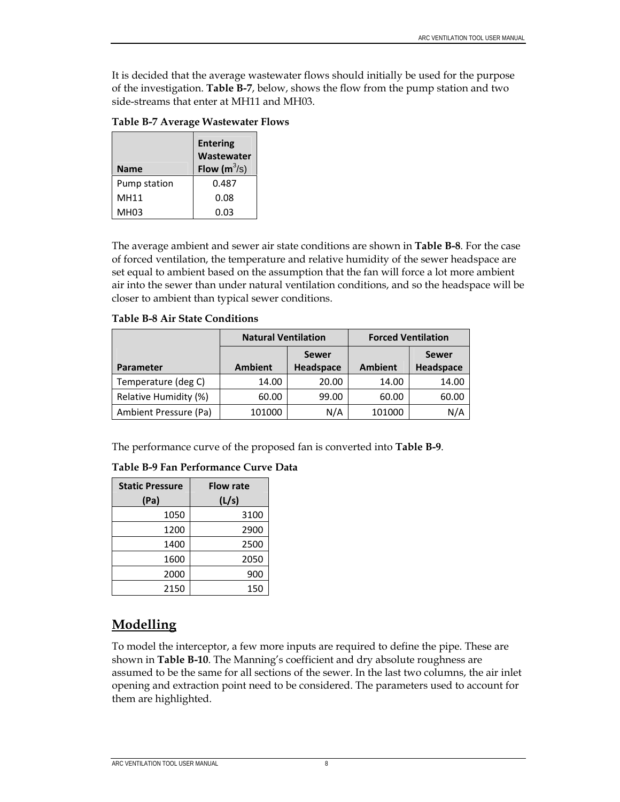It is decided that the average wastewater flows should initially be used for the purpose of the investigation. **Table B-7**, below, shows the flow from the pump station and two side-streams that enter at MH11 and MH03.

**Table B-7 Average Wastewater Flows** 

|              | <b>Entering</b><br>Wastewater |
|--------------|-------------------------------|
| Name         | Flow $(m^3/s)$                |
| Pump station | 0.487                         |
| MH11         | 0.08                          |
| MH03         | 0.03                          |

The average ambient and sewer air state conditions are shown in **Table B-8**. For the case of forced ventilation, the temperature and relative humidity of the sewer headspace are set equal to ambient based on the assumption that the fan will force a lot more ambient air into the sewer than under natural ventilation conditions, and so the headspace will be closer to ambient than typical sewer conditions.

#### **Table B-8 Air State Conditions**

|                       | <b>Natural Ventilation</b> |              | <b>Forced Ventilation</b> |              |  |
|-----------------------|----------------------------|--------------|---------------------------|--------------|--|
|                       |                            | <b>Sewer</b> |                           | <b>Sewer</b> |  |
| <b>Parameter</b>      | <b>Ambient</b>             | Headspace    | <b>Ambient</b>            | Headspace    |  |
| Temperature (deg C)   | 14.00                      | 20.00        | 14.00                     | 14.00        |  |
| Relative Humidity (%) | 60.00                      | 99.00        | 60.00                     | 60.00        |  |
| Ambient Pressure (Pa) | 101000                     | N/A          | 101000                    | N/A          |  |

The performance curve of the proposed fan is converted into **Table B-9**.

#### **Table B-9 Fan Performance Curve Data**

| <b>Static Pressure</b> | <b>Flow rate</b> |
|------------------------|------------------|
| (Pa)                   | (L/s)            |
| 1050                   | 3100             |
| 1200                   | 2900             |
| 1400                   | 2500             |
| 1600                   | 2050             |
| 2000                   | 900              |
| 2150                   | 150              |

## **Modelling**

To model the interceptor, a few more inputs are required to define the pipe. These are shown in **Table B-10**. The Manning's coefficient and dry absolute roughness are assumed to be the same for all sections of the sewer. In the last two columns, the air inlet opening and extraction point need to be considered. The parameters used to account for them are highlighted.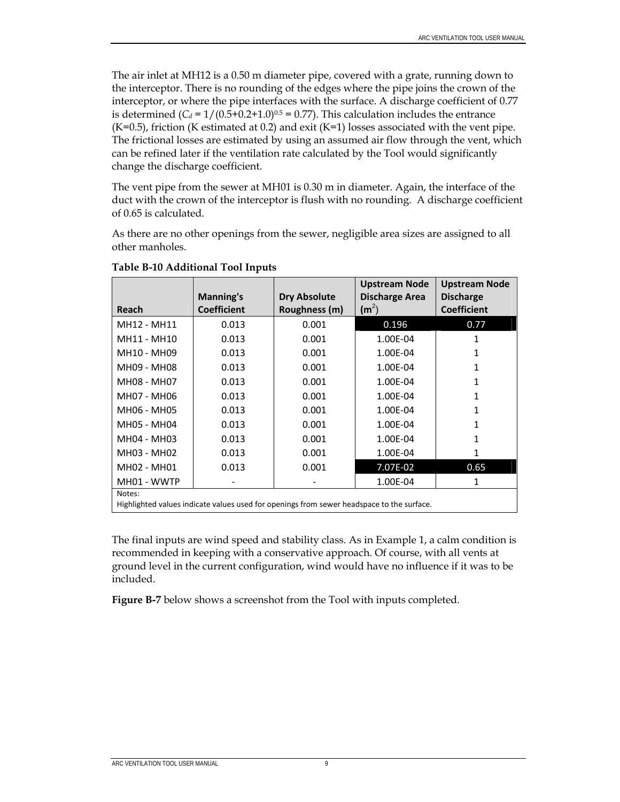The air inlet at MH12 is a 0.50 m diameter pipe, covered with a grate, running down to the interceptor. There is no rounding of the edges where the pipe joins the crown of the interceptor, or where the pipe interfaces with the surface. A discharge coefficient of 0.77 is determined  $(C_d = 1/(0.5+0.2+1.0)^{0.5} = 0.77)$ . This calculation includes the entrance  $(K=0.5)$ , friction (K estimated at 0.2) and exit  $(K=1)$  losses associated with the vent pipe. The frictional losses are estimated by using an assumed air flow through the vent, which can be refined later if the ventilation rate calculated by the Tool would significantly change the discharge coefficient.

The vent pipe from the sewer at MH01 is 0.30 m in diameter. Again, the interface of the duct with the crown of the interceptor is flush with no rounding. A discharge coefficient of 0.65 is calculated.

As there are no other openings from the sewer, negligible area sizes are assigned to all other manholes.

|                                                                                           |                    |                     | <b>Upstream Node</b>  | <b>Upstream Node</b> |  |  |
|-------------------------------------------------------------------------------------------|--------------------|---------------------|-----------------------|----------------------|--|--|
|                                                                                           | <b>Manning's</b>   | <b>Dry Absolute</b> | <b>Discharge Area</b> | <b>Discharge</b>     |  |  |
| Reach                                                                                     | <b>Coefficient</b> | Roughness (m)       | $(m^2)$               | <b>Coefficient</b>   |  |  |
| MH12 - MH11                                                                               | 0.013              | 0.001               | 0.196                 | 0.77                 |  |  |
| MH11 - MH10                                                                               | 0.013              | 0.001               | 1.00E-04              | 1                    |  |  |
| MH10 - MH09                                                                               | 0.013              | 0.001               | 1.00E-04              | 1                    |  |  |
| MH09 - MH08                                                                               | 0.013              | 0.001               | 1.00E-04              | 1                    |  |  |
| MH08 - MH07                                                                               | 0.013              | 0.001               | 1.00E-04              | 1                    |  |  |
| MH07 - MH06                                                                               | 0.013              | 0.001               | 1.00E-04              | 1                    |  |  |
| MH06 - MH05                                                                               | 0.013              | 0.001               | 1.00E-04              | 1                    |  |  |
| MH05 - MH04                                                                               | 0.013              | 0.001               | 1.00E-04              | 1                    |  |  |
| MH04 - MH03                                                                               | 0.013              | 0.001               | 1.00E-04              | 1                    |  |  |
| MH03 - MH02                                                                               | 0.013              | 0.001               | 1.00E-04              | 1                    |  |  |
| MH02 - MH01                                                                               | 0.013              | 0.001               | 7.07E-02              | 0.65                 |  |  |
| MH01 - WWTP                                                                               |                    |                     | 1.00E-04              | 1                    |  |  |
| Notes:                                                                                    |                    |                     |                       |                      |  |  |
| Highlighted values indicate values used for openings from sewer headspace to the surface. |                    |                     |                       |                      |  |  |

**Table B-10 Additional Tool Inputs** 

The final inputs are wind speed and stability class. As in Example 1, a calm condition is recommended in keeping with a conservative approach. Of course, with all vents at ground level in the current configuration, wind would have no influence if it was to be included.

**Figure B-7** below shows a screenshot from the Tool with inputs completed.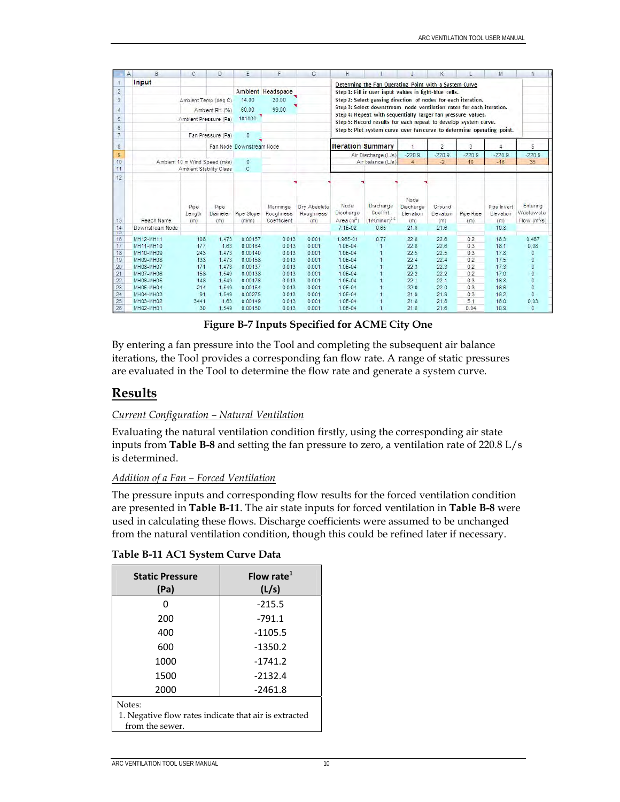|                 | B<br>A                                                         | C                             | D.                      | Ε                        | F                                    | G                                | н                                                                      |                                                        |                                       | κ                          |                  | M                               | N                                                 |
|-----------------|----------------------------------------------------------------|-------------------------------|-------------------------|--------------------------|--------------------------------------|----------------------------------|------------------------------------------------------------------------|--------------------------------------------------------|---------------------------------------|----------------------------|------------------|---------------------------------|---------------------------------------------------|
| $\uparrow$      | Input<br>Determing the Fan Operating Point with a System Curve |                               |                         |                          |                                      |                                  |                                                                        |                                                        |                                       |                            |                  |                                 |                                                   |
| $\overline{2}$  |                                                                |                               |                         |                          | Ambient Headspace                    |                                  |                                                                        | Step 1: Fill in user input values in light-blue cells. |                                       |                            |                  |                                 |                                                   |
| $\overline{3}$  |                                                                | Ambient Temp (deg C)          |                         | 14.00                    | 20.00                                |                                  | Step 2: Select gassing direction of nodes for each iteration.          |                                                        |                                       |                            |                  |                                 |                                                   |
|                 |                                                                |                               |                         | 60.00                    | 99.00                                |                                  | Step 3: Select downstream node ventilation rates for each iteration.   |                                                        |                                       |                            |                  |                                 |                                                   |
| 4               |                                                                |                               | Ambient RH (%)          |                          |                                      |                                  | Step 4: Repeat with sequentially larger fan pressure values.           |                                                        |                                       |                            |                  |                                 |                                                   |
| $\overline{5}$  |                                                                | Ambient Pressure (Pa)         |                         | 101000                   |                                      |                                  | Step 5: Record results for each repeat to develop system curve.        |                                                        |                                       |                            |                  |                                 |                                                   |
| $\ddot{\bf{6}}$ |                                                                |                               |                         |                          |                                      |                                  | Step 6: Plot system curve over fan curve to determine operating point. |                                                        |                                       |                            |                  |                                 |                                                   |
| $\overline{7}$  |                                                                |                               | Fan Pressure (Pa)       | $\mathbf{0}$             |                                      |                                  |                                                                        |                                                        |                                       |                            |                  |                                 |                                                   |
| $\rm ^8$        |                                                                |                               |                         | Fan Node Downstream Node |                                      |                                  | <b>Iteration Summary</b>                                               |                                                        |                                       | $\overline{2}$             | 3                | Δ                               | 5                                                 |
| 9               |                                                                |                               |                         |                          |                                      |                                  |                                                                        | Air Discharge (L/s)                                    | $-220.9$                              | $-220.9$                   | $-220.9$         | $-220.9$                        | $-220.9$                                          |
| 10              |                                                                | Ambient 10 m Wind Speed (m/s) |                         | 0                        |                                      |                                  |                                                                        | Air balance (L/s)                                      | $\overline{4}$                        | $-2$                       | 10               | $-16$                           | 35                                                |
| 11              |                                                                | Ambient Stability Class       |                         | c.                       |                                      |                                  |                                                                        |                                                        |                                       |                            |                  |                                 |                                                   |
| 12              |                                                                |                               |                         |                          |                                      |                                  |                                                                        |                                                        |                                       |                            |                  |                                 |                                                   |
| 13              | Reach Name                                                     | Pipe<br>Length<br>(m)         | Pipe<br>Diameter<br>(m) | Pipe Slope<br>(m/m)      | Mannings<br>Roughness<br>Coefficient | Drv Absolute<br>Roughness<br>(m) | Node<br>Discharge<br>Area (m <sup>2</sup> )                            | Discharge<br>Coeffnt.<br>$(1/K$ minor) <sup>o.s.</sup> | Node<br>Discharge<br>Elevation<br>(m) | Ground<br>Elevation<br>(m) | Pipe Rise<br>(m) | Pipe Invert<br>Elevation<br>(m) | Entering<br>Wastewater<br>Flow(m <sup>3</sup> /s) |
| 14<br>T5        | Downstream Node                                                |                               |                         |                          |                                      |                                  | $7.1E-02$                                                              | 0.65                                                   | 21.6                                  | 21.6                       |                  | 10.8                            |                                                   |
| 16              | MH12-MH11                                                      | 108                           | 1.473                   | 0.00157                  | 0.013                                | 0.001                            | 1.96E-01                                                               | 0.77                                                   | 22.6                                  | 22.6                       | 0.2              | 18.3                            | 0.487                                             |
| 17              | MH11-MH10                                                      | 177                           | 1.63                    | 0.00164                  | 0.013                                | 0.001                            | 1.0E-04                                                                | $\overline{1}$                                         | 22.6                                  | 22.6                       | 0.3              | 18.1                            | 0.08                                              |
| 18              | MH10-MH09                                                      | 243                           | 1.473                   | 0.00140                  | 0.013                                | 0.001                            | $1.0E - 04$                                                            |                                                        | 22.5                                  | 22.5                       | 0.3              | 17.8                            | 0                                                 |
| 19              | MH09-MH08                                                      | 133                           | 1.473                   | 0.00158                  | 0.013                                | 0.001                            | $1.0E - 04$                                                            |                                                        | 22.4                                  | 22.4                       | 0.2              | 17.5                            | $\Omega$                                          |
| 20              | MH08-MH07                                                      | 171                           | 1.473                   | 0.00137                  | 0.013                                | 0.001                            | $1.0E - 04$                                                            |                                                        | 22.3                                  | 22.3                       | 0.2              | 17.3                            | $\bf 0$                                           |
| 21              | MH07-MH06                                                      | 158                           | 1.549                   | 0.00138                  | 0.013                                | 0.001                            | $1.0E - 04$                                                            |                                                        | 22.2                                  | 22.2                       | 0.2              | 17.0                            | $\theta$                                          |
| 22              | MH06-MH05                                                      | 148                           | 1.549                   | 0.00176                  | 0.013                                | 0.001                            | $1.0E - 04$                                                            |                                                        | 22.1                                  | 22.1                       | 0.3              | 16.8                            | $\mathbf{0}$                                      |
| 23              | MH05-MH04                                                      | 214                           | 1.549                   | 0.00154                  | 0.013                                | 0.001                            | $1.0E - 04$                                                            |                                                        | 22.0                                  | 22.0                       | 0.3              | 16.6                            | $\Omega$                                          |
| 24              | MH04-MH03                                                      | 91                            | 1.549                   | 0.00275                  | 0.013                                | 0.001                            | $1.0E - 04$                                                            |                                                        | 21.9                                  | 21.9                       | 0.3              | 16.2                            | $\Omega$                                          |
| 25              | MH03-MH02                                                      | 3441                          | 1.63                    | 0.00149                  | 0.013                                | 0.001                            | $1.0E - 04$                                                            |                                                        | 21.8                                  | 21.8                       | 5.1              | 16.0                            | 0.03                                              |
| 26              | MH02-MH01                                                      | 30                            | 1.549                   | 0.00150                  | 0.013                                | 0.001                            | $1.0E - 04$                                                            |                                                        | 21.6                                  | 21.6                       | 0.04             | 10.9                            | $\mathfrak{a}$                                    |

**Figure B-7 Inputs Specified for ACME City One** 

By entering a fan pressure into the Tool and completing the subsequent air balance iterations, the Tool provides a corresponding fan flow rate. A range of static pressures are evaluated in the Tool to determine the flow rate and generate a system curve.

### **Results**

#### *Current Configuration – Natural Ventilation*

Evaluating the natural ventilation condition firstly, using the corresponding air state inputs from **Table B-8** and setting the fan pressure to zero, a ventilation rate of 220.8 L/s is determined.

#### *Addition of a Fan – Forced Ventilation*

The pressure inputs and corresponding flow results for the forced ventilation condition are presented in **Table B-11**. The air state inputs for forced ventilation in **Table B-8** were used in calculating these flows. Discharge coefficients were assumed to be unchanged from the natural ventilation condition, though this could be refined later if necessary.

| <b>Static Pressure</b><br>(Pa)                                                     | Flow rate $1$<br>(L/s) |  |  |  |
|------------------------------------------------------------------------------------|------------------------|--|--|--|
|                                                                                    | $-215.5$               |  |  |  |
| 200                                                                                | $-791.1$               |  |  |  |
| 400                                                                                | $-1105.5$              |  |  |  |
| 600                                                                                | $-1350.2$              |  |  |  |
| 1000                                                                               | $-1741.2$              |  |  |  |
| 1500                                                                               | $-2132.4$              |  |  |  |
| 2000                                                                               | $-2461.8$              |  |  |  |
| Notes:<br>1. Negative flow rates indicate that air is extracted<br>from the sewer. |                        |  |  |  |

#### **Table B-11 AC1 System Curve Data**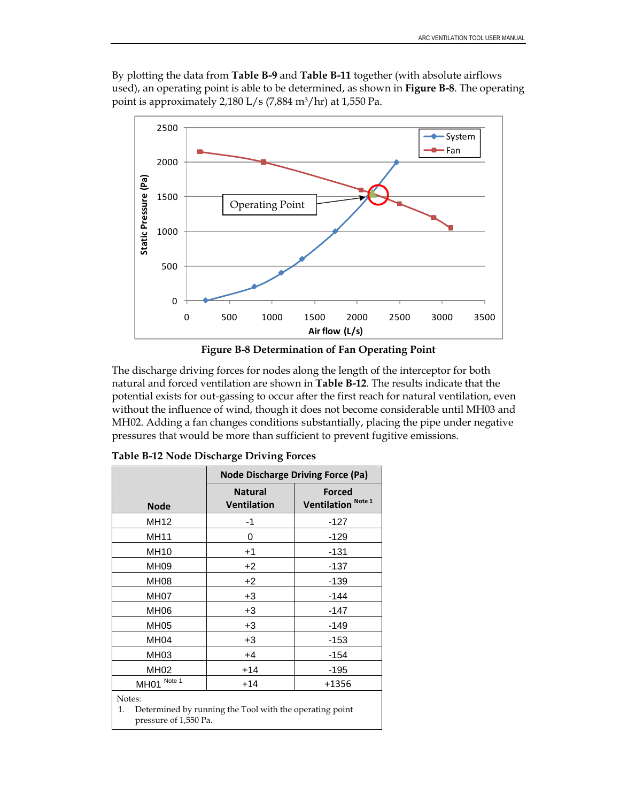By plotting the data from **Table B-9** and **Table B-11** together (with absolute airflows used), an operating point is able to be determined, as shown in **Figure B-8**. The operating point is approximately 2,180 L/s (7,884 m3/hr) at 1,550 Pa.





The discharge driving forces for nodes along the length of the interceptor for both natural and forced ventilation are shown in **Table B-12**. The results indicate that the potential exists for out-gassing to occur after the first reach for natural ventilation, even without the influence of wind, though it does not become considerable until MH03 and MH02. Adding a fan changes conditions substantially, placing the pipe under negative pressures that would be more than sufficient to prevent fugitive emissions.

|                                                                                                  | <b>Node Discharge Driving Force (Pa)</b> |                                         |  |  |  |
|--------------------------------------------------------------------------------------------------|------------------------------------------|-----------------------------------------|--|--|--|
| <b>Node</b>                                                                                      | <b>Natural</b><br><b>Ventilation</b>     | Forced<br>Ventilation <sup>Note 1</sup> |  |  |  |
| <b>MH12</b>                                                                                      | -1                                       | $-127$                                  |  |  |  |
| <b>MH11</b>                                                                                      | 0                                        | $-129$                                  |  |  |  |
| <b>MH10</b>                                                                                      | $+1$                                     | $-131$                                  |  |  |  |
| MH09                                                                                             | +2                                       | $-137$                                  |  |  |  |
| MH08                                                                                             | $+2$                                     | $-139$                                  |  |  |  |
| MH <sub>07</sub>                                                                                 | $+3$                                     | -144                                    |  |  |  |
| MH <sub>06</sub>                                                                                 | $+3$                                     | -147                                    |  |  |  |
| <b>MH05</b>                                                                                      | $+3$                                     | $-149$                                  |  |  |  |
| MH <sub>04</sub>                                                                                 | $+3$                                     | $-153$                                  |  |  |  |
| MH <sub>03</sub>                                                                                 | $+4$                                     | $-154$                                  |  |  |  |
| <b>MH02</b>                                                                                      | $+14$                                    | -195                                    |  |  |  |
| Note 1<br><b>MH01</b>                                                                            | $+14$                                    | +1356                                   |  |  |  |
| Notes:<br>Determined by running the Tool with the operating point<br>1.<br>pressure of 1,550 Pa. |                                          |                                         |  |  |  |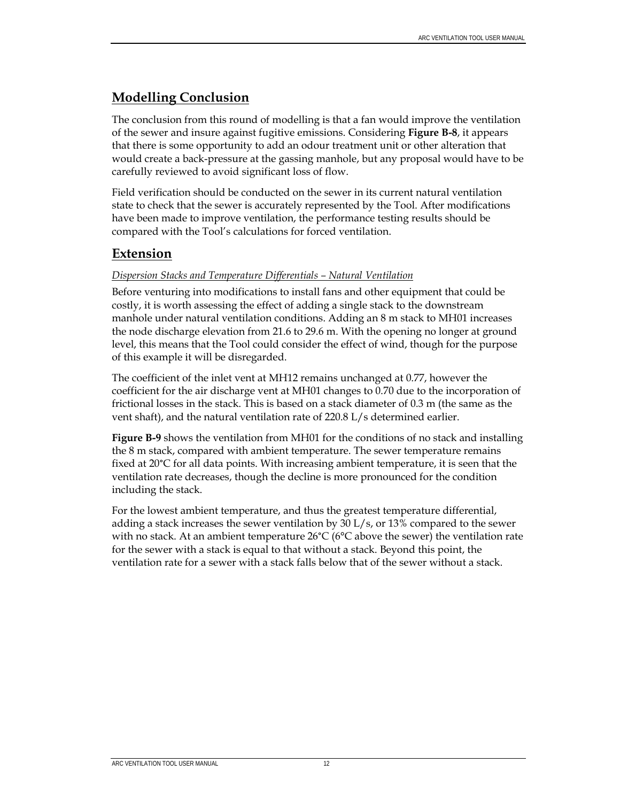## **Modelling Conclusion**

The conclusion from this round of modelling is that a fan would improve the ventilation of the sewer and insure against fugitive emissions. Considering **Figure B-8**, it appears that there is some opportunity to add an odour treatment unit or other alteration that would create a back-pressure at the gassing manhole, but any proposal would have to be carefully reviewed to avoid significant loss of flow.

Field verification should be conducted on the sewer in its current natural ventilation state to check that the sewer is accurately represented by the Tool. After modifications have been made to improve ventilation, the performance testing results should be compared with the Tool's calculations for forced ventilation.

## **Extension**

#### *Dispersion Stacks and Temperature Differentials – Natural Ventilation*

Before venturing into modifications to install fans and other equipment that could be costly, it is worth assessing the effect of adding a single stack to the downstream manhole under natural ventilation conditions. Adding an 8 m stack to MH01 increases the node discharge elevation from 21.6 to 29.6 m. With the opening no longer at ground level, this means that the Tool could consider the effect of wind, though for the purpose of this example it will be disregarded.

The coefficient of the inlet vent at MH12 remains unchanged at 0.77, however the coefficient for the air discharge vent at MH01 changes to 0.70 due to the incorporation of frictional losses in the stack. This is based on a stack diameter of 0.3 m (the same as the vent shaft), and the natural ventilation rate of 220.8 L/s determined earlier.

**Figure B-9** shows the ventilation from MH01 for the conditions of no stack and installing the 8 m stack, compared with ambient temperature. The sewer temperature remains fixed at 20°C for all data points. With increasing ambient temperature, it is seen that the ventilation rate decreases, though the decline is more pronounced for the condition including the stack.

For the lowest ambient temperature, and thus the greatest temperature differential, adding a stack increases the sewer ventilation by 30 L/s, or 13% compared to the sewer with no stack. At an ambient temperature  $26^{\circ}C$  (6 $^{\circ}C$  above the sewer) the ventilation rate for the sewer with a stack is equal to that without a stack. Beyond this point, the ventilation rate for a sewer with a stack falls below that of the sewer without a stack.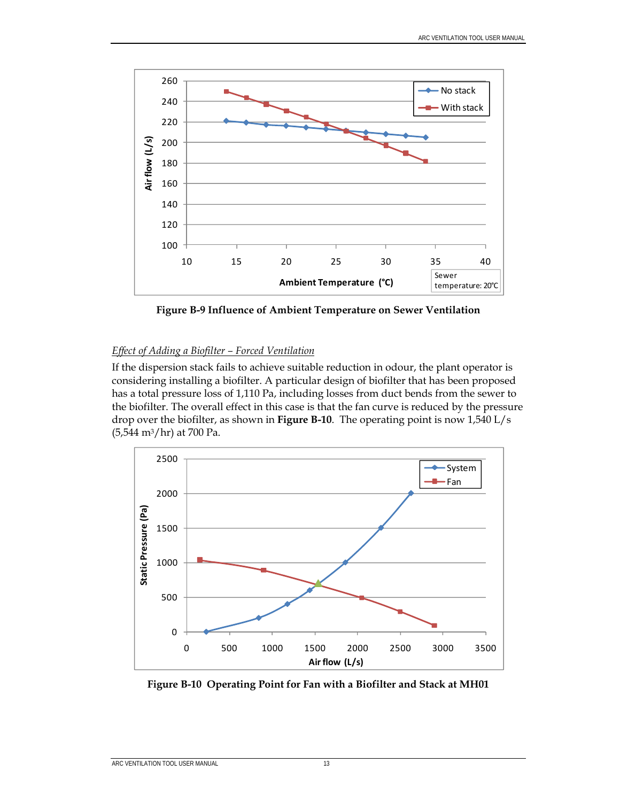

**Figure B-9 Influence of Ambient Temperature on Sewer Ventilation** 

#### *Effect of Adding a Biofilter – Forced Ventilation*

If the dispersion stack fails to achieve suitable reduction in odour, the plant operator is considering installing a biofilter. A particular design of biofilter that has been proposed has a total pressure loss of 1,110 Pa, including losses from duct bends from the sewer to the biofilter. The overall effect in this case is that the fan curve is reduced by the pressure drop over the biofilter, as shown in **Figure B-10**. The operating point is now 1,540 L/s  $(5,544 \text{ m}^3/\text{hr})$  at 700 Pa.



**Figure B-10 Operating Point for Fan with a Biofilter and Stack at MH01**